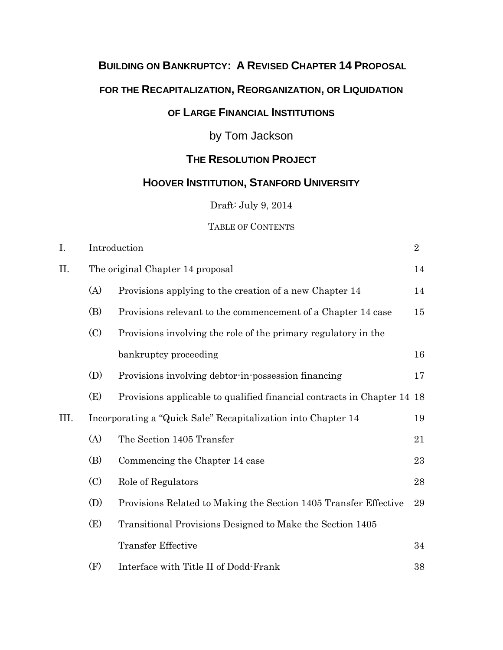# **BUILDING ON BANKRUPTCY: A REVISED CHAPTER 14 PROPOSAL**

# **FOR THE RECAPITALIZATION, REORGANIZATION, OR LIQUIDATION**

# **OF LARGE FINANCIAL INSTITUTIONS**

# by Tom Jackson

# **THE RESOLUTION PROJECT**

# **HOOVER INSTITUTION, STANFORD UNIVERSITY**

Draft: July 9, 2014

## TABLE OF CONTENTS

| I.   |     | Introduction                                                            | $\overline{2}$ |
|------|-----|-------------------------------------------------------------------------|----------------|
| II.  |     | The original Chapter 14 proposal                                        | 14             |
|      | (A) | Provisions applying to the creation of a new Chapter 14                 | 14             |
|      | (B) | Provisions relevant to the commencement of a Chapter 14 case            | 15             |
|      | (C) | Provisions involving the role of the primary regulatory in the          |                |
|      |     | bankruptcy proceeding                                                   | 16             |
|      | (D) | Provisions involving debtor-in-possession financing                     | 17             |
|      | (E) | Provisions applicable to qualified financial contracts in Chapter 14 18 |                |
| III. |     | Incorporating a "Quick Sale" Recapitalization into Chapter 14           | 19             |
|      | (A) | The Section 1405 Transfer                                               | 21             |
|      | (B) | Commencing the Chapter 14 case                                          | 23             |
|      | (C) | Role of Regulators                                                      | 28             |
|      | (D) | Provisions Related to Making the Section 1405 Transfer Effective        | 29             |
|      | (E) | Transitional Provisions Designed to Make the Section 1405               |                |
|      |     | <b>Transfer Effective</b>                                               | 34             |
|      | (F) | Interface with Title II of Dodd-Frank                                   | 38             |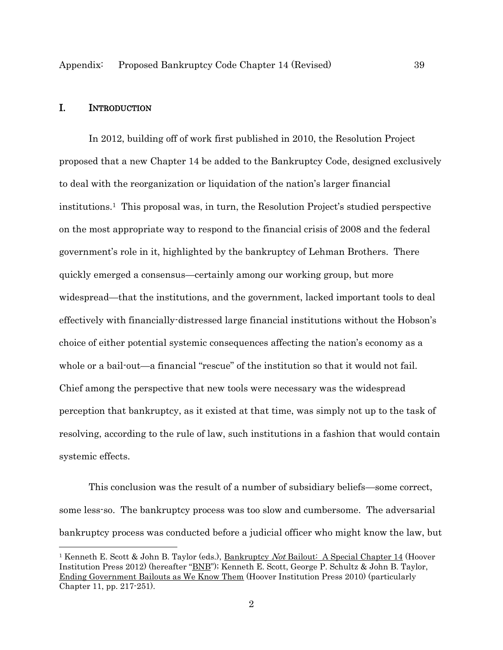## I. INTRODUCTION

l

In 2012, building off of work first published in 2010, the Resolution Project proposed that a new Chapter 14 be added to the Bankruptcy Code, designed exclusively to deal with the reorganization or liquidation of the nation's larger financial institutions.1 This proposal was, in turn, the Resolution Project's studied perspective on the most appropriate way to respond to the financial crisis of 2008 and the federal government's role in it, highlighted by the bankruptcy of Lehman Brothers. There quickly emerged a consensus—certainly among our working group, but more widespread—that the institutions, and the government, lacked important tools to deal effectively with financially-distressed large financial institutions without the Hobson's choice of either potential systemic consequences affecting the nation's economy as a whole or a bail-out—a financial "rescue" of the institution so that it would not fail. Chief among the perspective that new tools were necessary was the widespread perception that bankruptcy, as it existed at that time, was simply not up to the task of resolving, according to the rule of law, such institutions in a fashion that would contain systemic effects.

This conclusion was the result of a number of subsidiary beliefs—some correct, some less-so. The bankruptcy process was too slow and cumbersome. The adversarial bankruptcy process was conducted before a judicial officer who might know the law, but

<sup>&</sup>lt;sup>1</sup> Kenneth E. Scott & John B. Taylor (eds.), Bankruptcy *Not* Bailout: A Special Chapter 14 (Hoover Institution Press 2012) (hereafter "BNB"); Kenneth E. Scott, George P. Schultz & John B. Taylor, Ending Government Bailouts as We Know Them (Hoover Institution Press 2010) (particularly Chapter 11, pp. 217-251).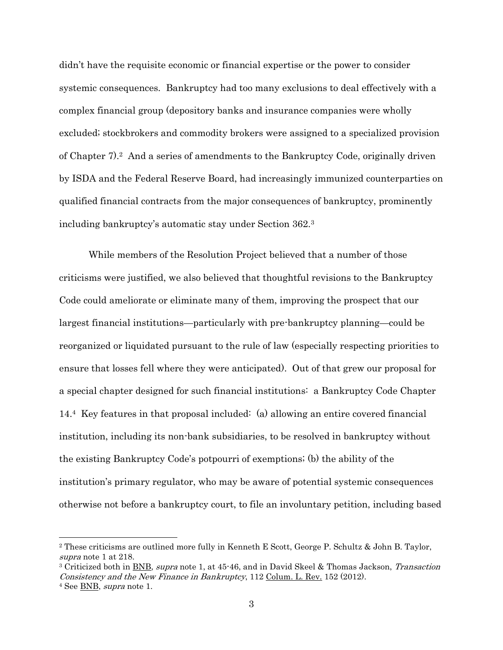didn't have the requisite economic or financial expertise or the power to consider systemic consequences. Bankruptcy had too many exclusions to deal effectively with a complex financial group (depository banks and insurance companies were wholly excluded; stockbrokers and commodity brokers were assigned to a specialized provision of Chapter 7).2 And a series of amendments to the Bankruptcy Code, originally driven by ISDA and the Federal Reserve Board, had increasingly immunized counterparties on qualified financial contracts from the major consequences of bankruptcy, prominently including bankruptcy's automatic stay under Section 362.<sup>3</sup>

While members of the Resolution Project believed that a number of those criticisms were justified, we also believed that thoughtful revisions to the Bankruptcy Code could ameliorate or eliminate many of them, improving the prospect that our largest financial institutions—particularly with pre-bankruptcy planning—could be reorganized or liquidated pursuant to the rule of law (especially respecting priorities to ensure that losses fell where they were anticipated). Out of that grew our proposal for a special chapter designed for such financial institutions: a Bankruptcy Code Chapter 14.4 Key features in that proposal included: (a) allowing an entire covered financial institution, including its non-bank subsidiaries, to be resolved in bankruptcy without the existing Bankruptcy Code's potpourri of exemptions; (b) the ability of the institution's primary regulator, who may be aware of potential systemic consequences otherwise not before a bankruptcy court, to file an involuntary petition, including based

<sup>2</sup> These criticisms are outlined more fully in Kenneth E Scott, George P. Schultz & John B. Taylor, supra note 1 at 218.

<sup>&</sup>lt;sup>3</sup> Criticized both in BNB, *supra* note 1, at 45-46, and in David Skeel & Thomas Jackson, *Transaction* Consistency and the New Finance in Bankruptcy, 112 Colum. L. Rev. 152 (2012).

<sup>&</sup>lt;sup>4</sup> See **BNB**, *supra* note 1.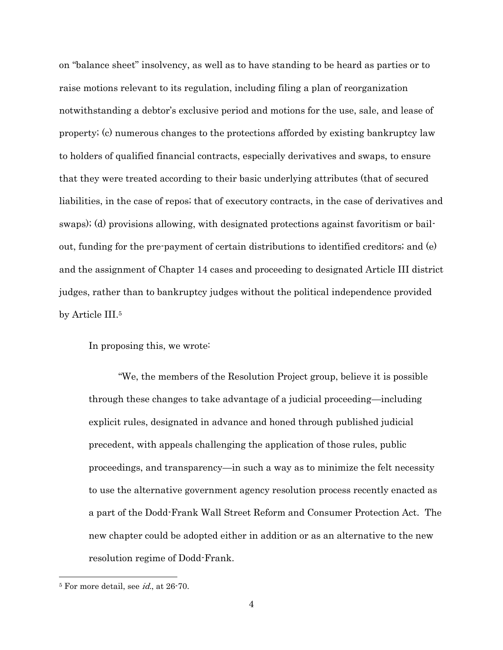on "balance sheet" insolvency, as well as to have standing to be heard as parties or to raise motions relevant to its regulation, including filing a plan of reorganization notwithstanding a debtor's exclusive period and motions for the use, sale, and lease of property; (c) numerous changes to the protections afforded by existing bankruptcy law to holders of qualified financial contracts, especially derivatives and swaps, to ensure that they were treated according to their basic underlying attributes (that of secured liabilities, in the case of repos; that of executory contracts, in the case of derivatives and swaps); (d) provisions allowing, with designated protections against favoritism or bailout, funding for the pre-payment of certain distributions to identified creditors; and (e) and the assignment of Chapter 14 cases and proceeding to designated Article III district judges, rather than to bankruptcy judges without the political independence provided by Article III.<sup>5</sup>

In proposing this, we wrote:

"We, the members of the Resolution Project group, believe it is possible through these changes to take advantage of a judicial proceeding—including explicit rules, designated in advance and honed through published judicial precedent, with appeals challenging the application of those rules, public proceedings, and transparency—in such a way as to minimize the felt necessity to use the alternative government agency resolution process recently enacted as a part of the Dodd-Frank Wall Street Reform and Consumer Protection Act. The new chapter could be adopted either in addition or as an alternative to the new resolution regime of Dodd-Frank.

<sup>&</sup>lt;sup>5</sup> For more detail, see id., at 26-70.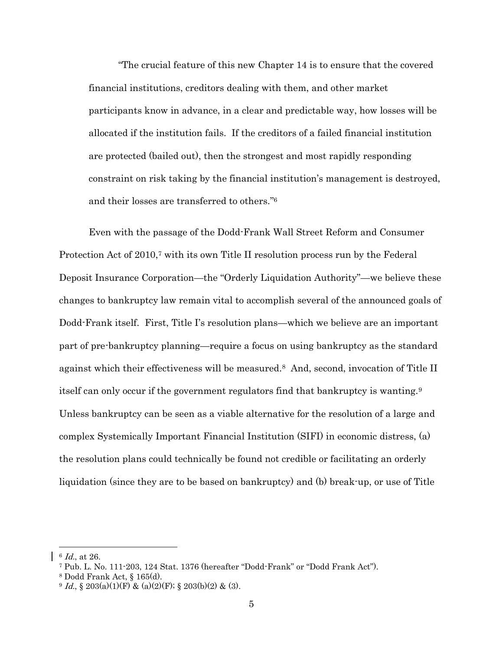"The crucial feature of this new Chapter 14 is to ensure that the covered financial institutions, creditors dealing with them, and other market participants know in advance, in a clear and predictable way, how losses will be allocated if the institution fails. If the creditors of a failed financial institution are protected (bailed out), then the strongest and most rapidly responding constraint on risk taking by the financial institution's management is destroyed, and their losses are transferred to others." 6

Even with the passage of the Dodd-Frank Wall Street Reform and Consumer Protection Act of 2010,<sup>7</sup> with its own Title II resolution process run by the Federal Deposit Insurance Corporation—the "Orderly Liquidation Authority"—we believe these changes to bankruptcy law remain vital to accomplish several of the announced goals of Dodd-Frank itself. First, Title I's resolution plans—which we believe are an important part of pre-bankruptcy planning—require a focus on using bankruptcy as the standard against which their effectiveness will be measured.8 And, second, invocation of Title II itself can only occur if the government regulators find that bankruptcy is wanting.<sup>9</sup> Unless bankruptcy can be seen as a viable alternative for the resolution of a large and complex Systemically Important Financial Institution (SIFI) in economic distress, (a) the resolution plans could technically be found not credible or facilitating an orderly liquidation (since they are to be based on bankruptcy) and (b) break-up, or use of Title

 $6$  Id., at 26.

<sup>7</sup> Pub. L. No. 111-203, 124 Stat. 1376 (hereafter "Dodd-Frank" or "Dodd Frank Act").

<sup>8</sup> Dodd Frank Act, § 165(d).

 $9 \text{ Id.}, \, \S \, 203(a)(1)(F) \& (a)(2)(F); \, \S \, 203(b)(2) \& (3).$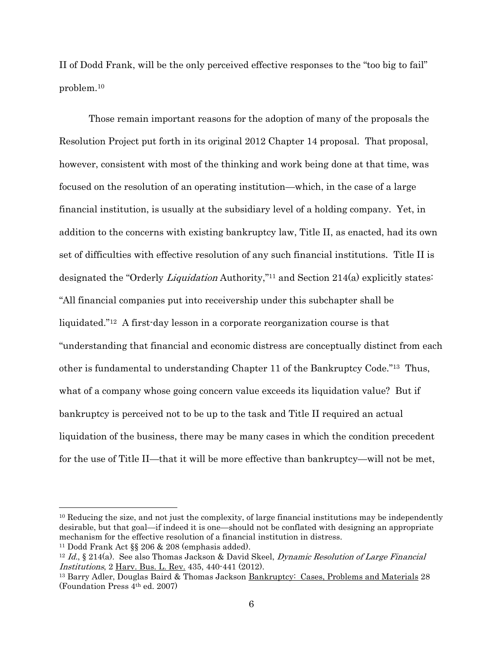II of Dodd Frank, will be the only perceived effective responses to the "too big to fail" problem.<sup>10</sup>

Those remain important reasons for the adoption of many of the proposals the Resolution Project put forth in its original 2012 Chapter 14 proposal. That proposal, however, consistent with most of the thinking and work being done at that time, was focused on the resolution of an operating institution—which, in the case of a large financial institution, is usually at the subsidiary level of a holding company. Yet, in addition to the concerns with existing bankruptcy law, Title II, as enacted, had its own set of difficulties with effective resolution of any such financial institutions. Title II is designated the "Orderly *Liquidation* Authority,"<sup>11</sup> and Section 214(a) explicitly states: "All financial companies put into receivership under this subchapter shall be liquidated."12 A first-day lesson in a corporate reorganization course is that "understanding that financial and economic distress are conceptually distinct from each other is fundamental to understanding Chapter 11 of the Bankruptcy Code." <sup>13</sup> Thus, what of a company whose going concern value exceeds its liquidation value? But if bankruptcy is perceived not to be up to the task and Title II required an actual liquidation of the business, there may be many cases in which the condition precedent for the use of Title II—that it will be more effective than bankruptcy—will not be met,

<sup>10</sup> Reducing the size, and not just the complexity, of large financial institutions may be independently desirable, but that goal—if indeed it is one—should not be conflated with designing an appropriate mechanism for the effective resolution of a financial institution in distress.

<sup>&</sup>lt;sup>11</sup> Dodd Frank Act  $\S$  206 & 208 (emphasis added).

<sup>&</sup>lt;sup>12</sup> Id., § 214(a). See also Thomas Jackson & David Skeel, *Dynamic Resolution of Large Financial* Institutions, 2 <u>Harv. Bus. L. Rev.</u> 435, 440-441 (2012).

<sup>&</sup>lt;sup>13</sup> Barry Adler, Douglas Baird & Thomas Jackson Bankruptcy: Cases, Problems and Materials 28 (Foundation Press 4th ed. 2007)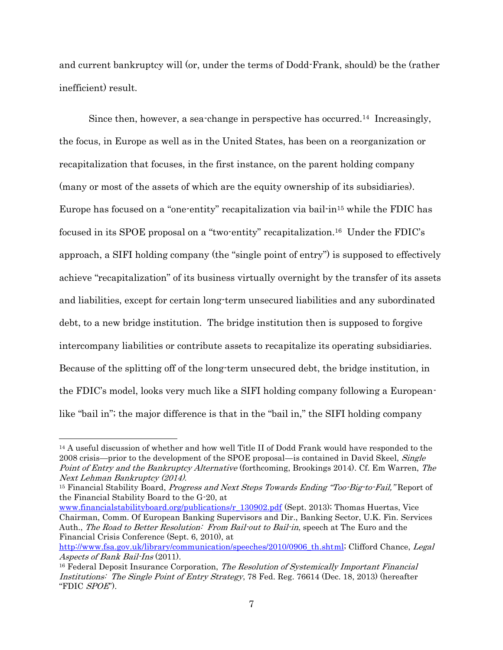and current bankruptcy will (or, under the terms of Dodd-Frank, should) be the (rather inefficient) result.

Since then, however, a sea-change in perspective has occurred.14 Increasingly, the focus, in Europe as well as in the United States, has been on a reorganization or recapitalization that focuses, in the first instance, on the parent holding company (many or most of the assets of which are the equity ownership of its subsidiaries). Europe has focused on a "one-entity" recapitalization via bail-in<sup>15</sup> while the FDIC has focused in its SPOE proposal on a "two-entity" recapitalization. <sup>16</sup> Under the FDIC's approach, a SIFI holding company (the "single point of entry") is supposed to effectively achieve "recapitalization" of its business virtually overnight by the transfer of its assets and liabilities, except for certain long-term unsecured liabilities and any subordinated debt, to a new bridge institution. The bridge institution then is supposed to forgive intercompany liabilities or contribute assets to recapitalize its operating subsidiaries. Because of the splitting off of the long-term unsecured debt, the bridge institution, in the FDIC's model, looks very much like a SIFI holding company following a Europeanlike "bail in"; the major difference is that in the "bail in," the SIFI holding company

l

[www.financialstabilityboard.org/publications/r\\_130902.pdf](http://www.financialstabilityboard.org/publications/r_130902.pdf) (Sept. 2013); Thomas Huertas, Vice Chairman, Comm. Of European Banking Supervisors and Dir., Banking Sector, U.K. Fin. Services Auth., The Road to Better Resolution: From Bail-out to Bail-in, speech at The Euro and the Financial Crisis Conference (Sept. 6, 2010), at

<sup>14</sup> A useful discussion of whether and how well Title II of Dodd Frank would have responded to the 2008 crisis—prior to the development of the SPOE proposal—is contained in David Skeel, *Single* Point of Entry and the Bankruptcy Alternative (forthcoming, Brookings 2014). Cf. Em Warren, The Next Lehman Bankruptcy (2014).

<sup>&</sup>lt;sup>15</sup> Financial Stability Board, *Progress and Next Steps Towards Ending "Too-Big-to-Fail*," Report of the Financial Stability Board to the G-20, at

[http://www.fsa.gov.uk/library/communication/speeches/2010/0906\\_th.shtml;](http://www.fsa.gov.uk/library/communication/speeches/2010/0906_th.shtml) Clifford Chance, Legal Aspects of Bank Bail-Ins (2011).

<sup>&</sup>lt;sup>16</sup> Federal Deposit Insurance Corporation, The Resolution of Systemically Important Financial Institutions: The Single Point of Entry Strategy, 78 Fed. Reg. 76614 (Dec. 18, 2013) (hereafter "FDIC SPOE").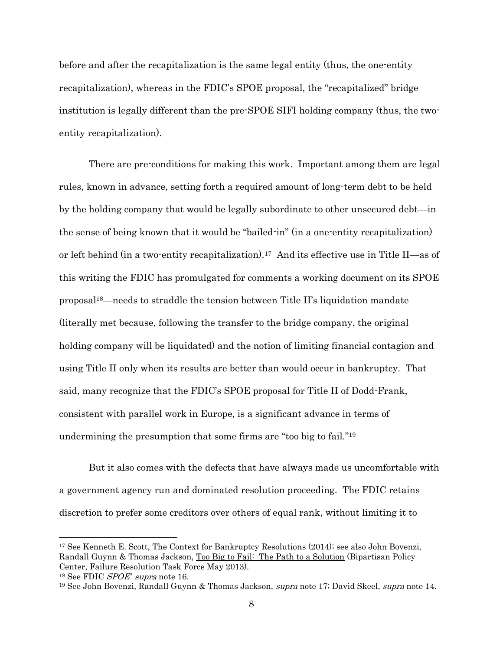before and after the recapitalization is the same legal entity (thus, the one-entity recapitalization), whereas in the FDIC's SPOE proposal, the "recapitalized" bridge institution is legally different than the pre-SPOE SIFI holding company (thus, the twoentity recapitalization).

There are pre-conditions for making this work. Important among them are legal rules, known in advance, setting forth a required amount of long-term debt to be held by the holding company that would be legally subordinate to other unsecured debt—in the sense of being known that it would be "bailed-in" (in a one-entity recapitalization) or left behind (in a two-entity recapitalization).17 And its effective use in Title II—as of this writing the FDIC has promulgated for comments a working document on its SPOE proposal18—needs to straddle the tension between Title II's liquidation mandate (literally met because, following the transfer to the bridge company, the original holding company will be liquidated) and the notion of limiting financial contagion and using Title II only when its results are better than would occur in bankruptcy. That said, many recognize that the FDIC's SPOE proposal for Title II of Dodd-Frank, consistent with parallel work in Europe, is a significant advance in terms of undermining the presumption that some firms are "too big to fail."<sup>19</sup>

But it also comes with the defects that have always made us uncomfortable with a government agency run and dominated resolution proceeding. The FDIC retains discretion to prefer some creditors over others of equal rank, without limiting it to

<sup>17</sup> See Kenneth E. Scott, The Context for Bankruptcy Resolutions (2014); see also John Bovenzi, Randall Guynn & Thomas Jackson, Too Big to Fail: The Path to a Solution (Bipartisan Policy Center, Failure Resolution Task Force May 2013).

<sup>&</sup>lt;sup>18</sup> See FDIC *SPOE*" supra note 16.

<sup>&</sup>lt;sup>19</sup> See John Bovenzi, Randall Guynn & Thomas Jackson, *supra* note 17; David Skeel, *supra* note 14.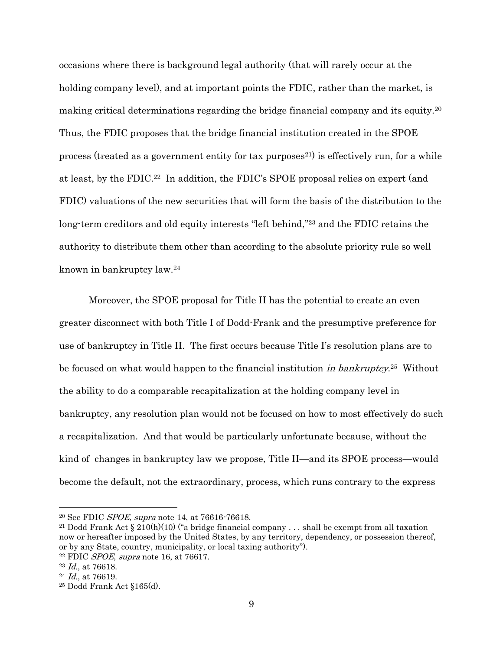occasions where there is background legal authority (that will rarely occur at the holding company level), and at important points the FDIC, rather than the market, is making critical determinations regarding the bridge financial company and its equity.<sup>20</sup> Thus, the FDIC proposes that the bridge financial institution created in the SPOE process (treated as a government entity for tax purposes<sup>21</sup>) is effectively run, for a while at least, by the FDIC.<sup>22</sup> In addition, the FDIC's SPOE proposal relies on expert (and FDIC) valuations of the new securities that will form the basis of the distribution to the long-term creditors and old equity interests "left behind,"<sup>23</sup> and the FDIC retains the authority to distribute them other than according to the absolute priority rule so well known in bankruptcy law.<sup>24</sup>

Moreover, the SPOE proposal for Title II has the potential to create an even greater disconnect with both Title I of Dodd-Frank and the presumptive preference for use of bankruptcy in Title II. The first occurs because Title I's resolution plans are to be focused on what would happen to the financial institution *in bankruptcy*.<sup>25</sup> Without the ability to do a comparable recapitalization at the holding company level in bankruptcy, any resolution plan would not be focused on how to most effectively do such a recapitalization. And that would be particularly unfortunate because, without the kind of changes in bankruptcy law we propose, Title II—and its SPOE process—would become the default, not the extraordinary, process, which runs contrary to the express

<sup>20</sup> See FDIC SPOE, supra note 14, at 76616-76618.

<sup>&</sup>lt;sup>21</sup> Dodd Frank Act § 210(h)(10) ("a bridge financial company . . . shall be exempt from all taxation now or hereafter imposed by the United States, by any territory, dependency, or possession thereof, or by any State, country, municipality, or local taxing authority").

<sup>&</sup>lt;sup>22</sup> FDIC *SPOE*, *supra* note 16, at 76617.

<sup>23</sup> Id., at 76618.

 $24$  *Id.*, at 76619.

<sup>25</sup> Dodd Frank Act §165(d).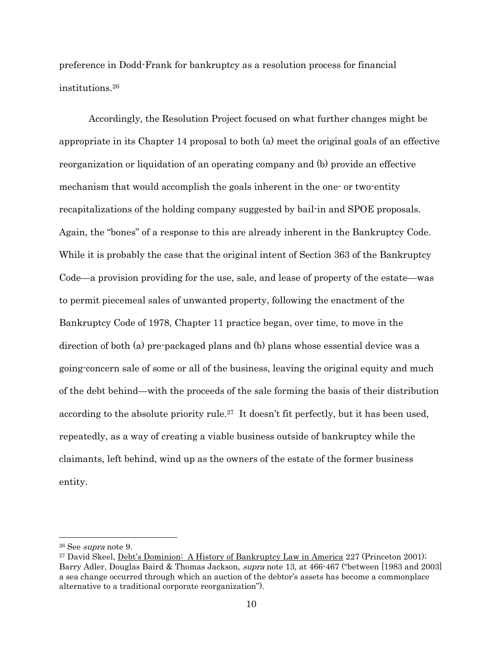preference in Dodd-Frank for bankruptcy as a resolution process for financial institutions.<sup>26</sup>

Accordingly, the Resolution Project focused on what further changes might be appropriate in its Chapter 14 proposal to both (a) meet the original goals of an effective reorganization or liquidation of an operating company and (b) provide an effective mechanism that would accomplish the goals inherent in the one- or two-entity recapitalizations of the holding company suggested by bail-in and SPOE proposals. Again, the "bones" of a response to this are already inherent in the Bankruptcy Code. While it is probably the case that the original intent of Section 363 of the Bankruptcy Code—a provision providing for the use, sale, and lease of property of the estate—was to permit piecemeal sales of unwanted property, following the enactment of the Bankruptcy Code of 1978, Chapter 11 practice began, over time, to move in the direction of both (a) pre-packaged plans and (b) plans whose essential device was a going-concern sale of some or all of the business, leaving the original equity and much of the debt behind—with the proceeds of the sale forming the basis of their distribution according to the absolute priority rule.<sup>27</sup> It doesn't fit perfectly, but it has been used, repeatedly, as a way of creating a viable business outside of bankruptcy while the claimants, left behind, wind up as the owners of the estate of the former business entity.

<sup>26</sup> See supra note 9.

<sup>27</sup> David Skeel, Debt's Dominion: A History of Bankruptcy Law in America 227 (Princeton 2001); Barry Adler, Douglas Baird & Thomas Jackson, supra note 13, at 466-467 ("between [1983 and 2003] a sea change occurred through which an auction of the debtor's assets has become a commonplace alternative to a traditional corporate reorganization").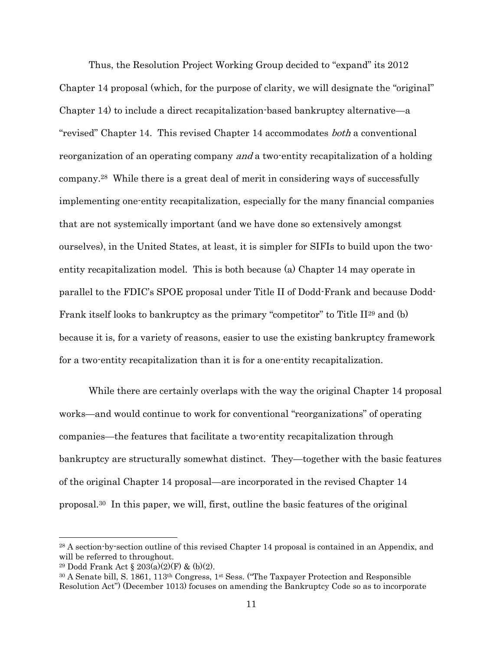Thus, the Resolution Project Working Group decided to "expand" its 2012 Chapter 14 proposal (which, for the purpose of clarity, we will designate the "original" Chapter 14) to include a direct recapitalization-based bankruptcy alternative—a "revised" Chapter 14. This revised Chapter 14 accommodates both a conventional reorganization of an operating company and a two-entity recapitalization of a holding company.28 While there is a great deal of merit in considering ways of successfully implementing one-entity recapitalization, especially for the many financial companies that are not systemically important (and we have done so extensively amongst ourselves), in the United States, at least, it is simpler for SIFIs to build upon the twoentity recapitalization model. This is both because (a) Chapter 14 may operate in parallel to the FDIC's SPOE proposal under Title II of Dodd-Frank and because Dodd-Frank itself looks to bankruptcy as the primary "competitor" to Title II<sup>29</sup> and (b) because it is, for a variety of reasons, easier to use the existing bankruptcy framework for a two-entity recapitalization than it is for a one-entity recapitalization.

While there are certainly overlaps with the way the original Chapter 14 proposal works—and would continue to work for conventional "reorganizations" of operating companies—the features that facilitate a two-entity recapitalization through bankruptcy are structurally somewhat distinct. They—together with the basic features of the original Chapter 14 proposal—are incorporated in the revised Chapter 14 proposal.30 In this paper, we will, first, outline the basic features of the original

<sup>28</sup> A section-by-section outline of this revised Chapter 14 proposal is contained in an Appendix, and will be referred to throughout.

<sup>&</sup>lt;sup>29</sup> Dodd Frank Act § 203(a)(2)(F) & (b)(2).

<sup>30</sup> A Senate bill, S. 1861, 113th Congress, 1st Sess. ("The Taxpayer Protection and Responsible Resolution Act") (December 1013) focuses on amending the Bankruptcy Code so as to incorporate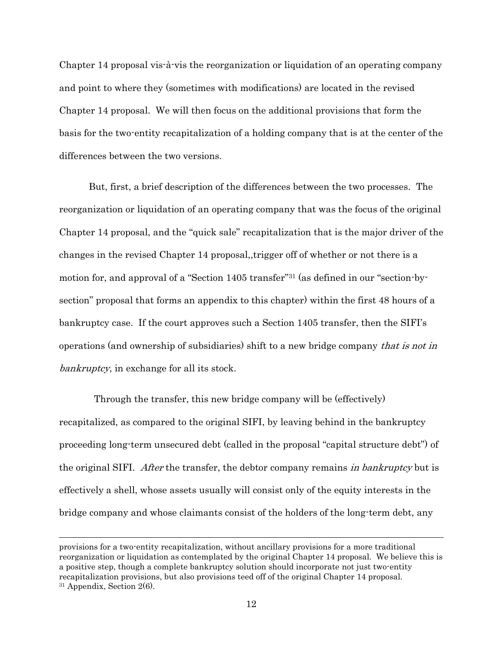Chapter 14 proposal vis-à-vis the reorganization or liquidation of an operating company and point to where they (sometimes with modifications) are located in the revised Chapter 14 proposal. We will then focus on the additional provisions that form the basis for the two-entity recapitalization of a holding company that is at the center of the differences between the two versions.

But, first, a brief description of the differences between the two processes. The reorganization or liquidation of an operating company that was the focus of the original Chapter 14 proposal, and the "quick sale" recapitalization that is the major driver of the changes in the revised Chapter 14 proposal,,trigger off of whether or not there is a motion for, and approval of a "Section 1405 transfer"<sup>31</sup> (as defined in our "section-bysection" proposal that forms an appendix to this chapter) within the first 48 hours of a bankruptcy case. If the court approves such a Section 1405 transfer, then the SIFI's operations (and ownership of subsidiaries) shift to a new bridge company that is not in bankruptcy, in exchange for all its stock.

 Through the transfer, this new bridge company will be (effectively) recapitalized, as compared to the original SIFI, by leaving behind in the bankruptcy proceeding long-term unsecured debt (called in the proposal "capital structure debt") of the original SIFI. After the transfer, the debtor company remains in bankruptcy but is effectively a shell, whose assets usually will consist only of the equity interests in the bridge company and whose claimants consist of the holders of the long-term debt, any

provisions for a two-entity recapitalization, without ancillary provisions for a more traditional reorganization or liquidation as contemplated by the original Chapter 14 proposal. We believe this is a positive step, though a complete bankruptcy solution should incorporate not just two-entity recapitalization provisions, but also provisions teed off of the original Chapter 14 proposal. <sup>31</sup> Appendix, Section 2(6).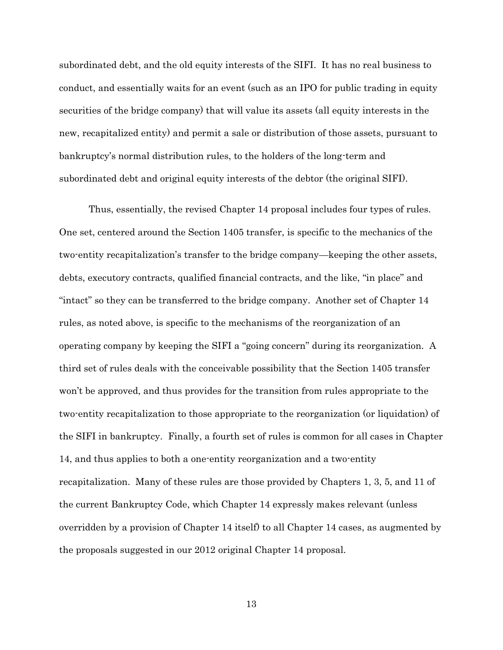subordinated debt, and the old equity interests of the SIFI. It has no real business to conduct, and essentially waits for an event (such as an IPO for public trading in equity securities of the bridge company) that will value its assets (all equity interests in the new, recapitalized entity) and permit a sale or distribution of those assets, pursuant to bankruptcy's normal distribution rules, to the holders of the long-term and subordinated debt and original equity interests of the debtor (the original SIFI).

Thus, essentially, the revised Chapter 14 proposal includes four types of rules. One set, centered around the Section 1405 transfer, is specific to the mechanics of the two-entity recapitalization's transfer to the bridge company—keeping the other assets, debts, executory contracts, qualified financial contracts, and the like, "in place" and "intact" so they can be transferred to the bridge company. Another set of Chapter 14 rules, as noted above, is specific to the mechanisms of the reorganization of an operating company by keeping the SIFI a "going concern" during its reorganization. A third set of rules deals with the conceivable possibility that the Section 1405 transfer won't be approved, and thus provides for the transition from rules appropriate to the two-entity recapitalization to those appropriate to the reorganization (or liquidation) of the SIFI in bankruptcy. Finally, a fourth set of rules is common for all cases in Chapter 14, and thus applies to both a one-entity reorganization and a two-entity recapitalization. Many of these rules are those provided by Chapters 1, 3, 5, and 11 of the current Bankruptcy Code, which Chapter 14 expressly makes relevant (unless overridden by a provision of Chapter 14 itself) to all Chapter 14 cases, as augmented by the proposals suggested in our 2012 original Chapter 14 proposal.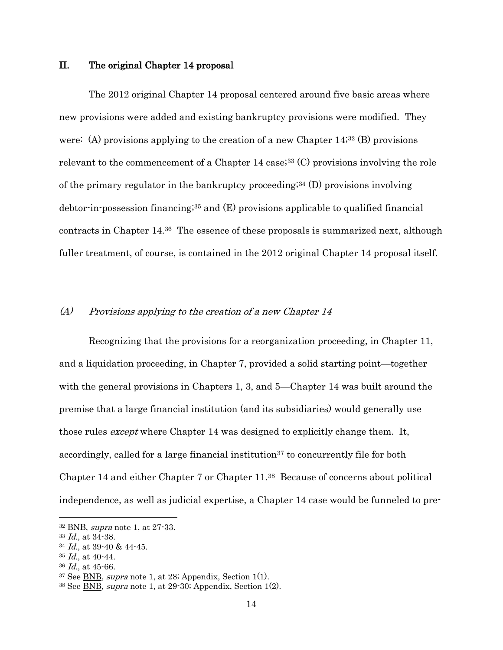#### II. The original Chapter 14 proposal

The 2012 original Chapter 14 proposal centered around five basic areas where new provisions were added and existing bankruptcy provisions were modified. They were: (A) provisions applying to the creation of a new Chapter  $14,32$  (B) provisions relevant to the commencement of a Chapter 14 case;<sup>33</sup> (C) provisions involving the role of the primary regulator in the bankruptcy proceeding;<sup>34</sup> (D) provisions involving debtor-in-possession financing;<sup>35</sup> and  $(E)$  provisions applicable to qualified financial contracts in Chapter 14.36 The essence of these proposals is summarized next, although fuller treatment, of course, is contained in the 2012 original Chapter 14 proposal itself.

#### (A) Provisions applying to the creation of a new Chapter 14

Recognizing that the provisions for a reorganization proceeding, in Chapter 11, and a liquidation proceeding, in Chapter 7, provided a solid starting point—together with the general provisions in Chapters 1, 3, and 5—Chapter 14 was built around the premise that a large financial institution (and its subsidiaries) would generally use those rules *except* where Chapter 14 was designed to explicitly change them. It, accordingly, called for a large financial institution<sup>37</sup> to concurrently file for both Chapter 14 and either Chapter 7 or Chapter 11.38 Because of concerns about political independence, as well as judicial expertise, a Chapter 14 case would be funneled to pre-

 $32$  BNB, supra note 1, at 27-33.

<sup>33</sup> Id., at 34-38.

<sup>34</sup> Id., at 39-40 & 44-45.

 $35$  *Id.*, at  $40-44$ .

 $36$  *Id.*, at  $45-66$ .

 $37$  See BNB, *supra* note 1, at 28; Appendix, Section 1(1).

<sup>38</sup> See BNB, supra note 1, at 29-30; Appendix, Section 1(2).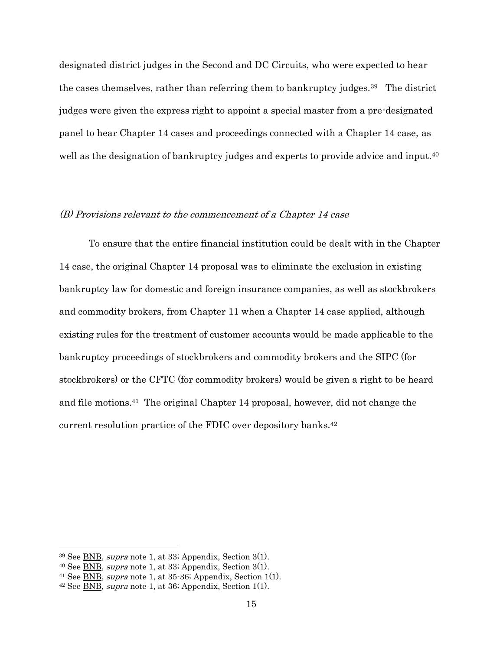designated district judges in the Second and DC Circuits, who were expected to hear the cases themselves, rather than referring them to bankruptcy judges.39 The district judges were given the express right to appoint a special master from a pre-designated panel to hear Chapter 14 cases and proceedings connected with a Chapter 14 case, as well as the designation of bankruptcy judges and experts to provide advice and input.<sup>40</sup>

#### (B) Provisions relevant to the commencement of a Chapter 14 case

To ensure that the entire financial institution could be dealt with in the Chapter 14 case, the original Chapter 14 proposal was to eliminate the exclusion in existing bankruptcy law for domestic and foreign insurance companies, as well as stockbrokers and commodity brokers, from Chapter 11 when a Chapter 14 case applied, although existing rules for the treatment of customer accounts would be made applicable to the bankruptcy proceedings of stockbrokers and commodity brokers and the SIPC (for stockbrokers) or the CFTC (for commodity brokers) would be given a right to be heard and file motions.41 The original Chapter 14 proposal, however, did not change the current resolution practice of the FDIC over depository banks.<sup>42</sup>

 $39$  See BNB, *supra* note 1, at 33; Appendix, Section 3(1).

 $40$  See <u>BNB</u>, *supra* note 1, at 33; Appendix, Section 3(1).

<sup>&</sup>lt;sup>41</sup> See BNB, *supra* note 1, at  $35-36$ ; Appendix, Section 1(1).

 $42$  See **BNB**, supra note 1, at 36; Appendix, Section 1(1).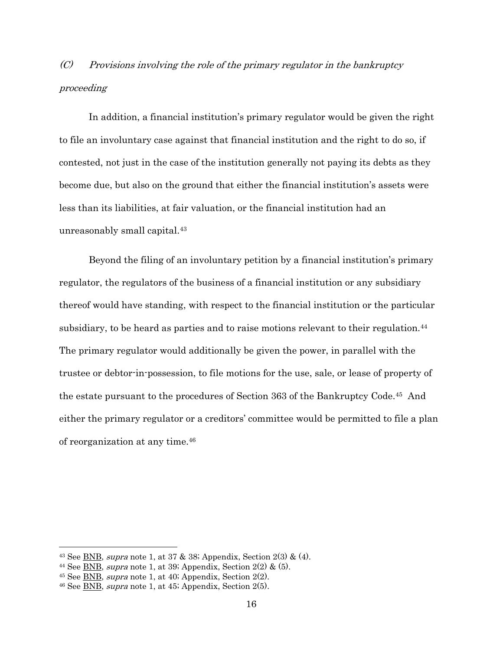$(C)$  Provisions involving the role of the primary regulator in the bankruptcy proceeding

In addition, a financial institution's primary regulator would be given the right to file an involuntary case against that financial institution and the right to do so, if contested, not just in the case of the institution generally not paying its debts as they become due, but also on the ground that either the financial institution's assets were less than its liabilities, at fair valuation, or the financial institution had an unreasonably small capital.<sup>43</sup>

Beyond the filing of an involuntary petition by a financial institution's primary regulator, the regulators of the business of a financial institution or any subsidiary thereof would have standing, with respect to the financial institution or the particular subsidiary, to be heard as parties and to raise motions relevant to their regulation.<sup>44</sup> The primary regulator would additionally be given the power, in parallel with the trustee or debtor-in-possession, to file motions for the use, sale, or lease of property of the estate pursuant to the procedures of Section 363 of the Bankruptcy Code.45 And either the primary regulator or a creditors' committee would be permitted to file a plan of reorganization at any time.<sup>46</sup>

<sup>&</sup>lt;sup>43</sup> See BNB, *supra* note 1, at 37  $\&$  38; Appendix, Section 2(3)  $\&$  (4).

<sup>&</sup>lt;sup>44</sup> See <u>BNB</u>, *supra* note 1, at 39; Appendix, Section  $2(2)$  &  $(5)$ .

<sup>&</sup>lt;sup>45</sup> See <u>BNB</u>, *supra* note 1, at 40; Appendix, Section  $2(2)$ .

 $46$  See **BNB**, supra note 1, at 45; Appendix, Section 2(5).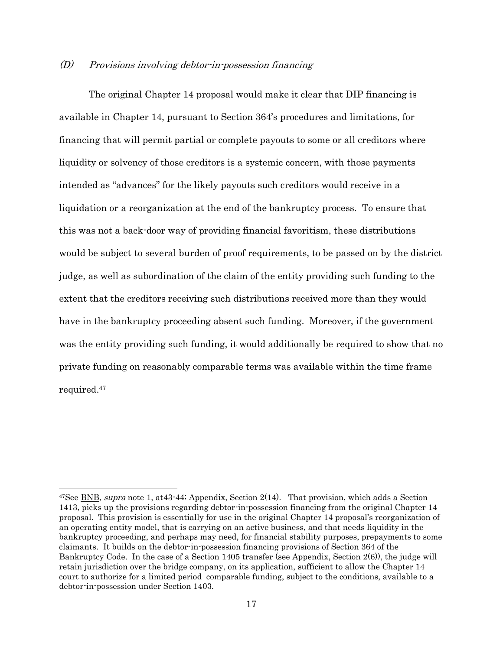#### (D) Provisions involving debtor-in-possession financing

The original Chapter 14 proposal would make it clear that DIP financing is available in Chapter 14, pursuant to Section 364's procedures and limitations, for financing that will permit partial or complete payouts to some or all creditors where liquidity or solvency of those creditors is a systemic concern, with those payments intended as "advances" for the likely payouts such creditors would receive in a liquidation or a reorganization at the end of the bankruptcy process. To ensure that this was not a back-door way of providing financial favoritism, these distributions would be subject to several burden of proof requirements, to be passed on by the district judge, as well as subordination of the claim of the entity providing such funding to the extent that the creditors receiving such distributions received more than they would have in the bankruptcy proceeding absent such funding. Moreover, if the government was the entity providing such funding, it would additionally be required to show that no private funding on reasonably comparable terms was available within the time frame required. 47

<sup>&</sup>lt;sup>47</sup>See BNB, *supra* note 1, at 43-44; Appendix, Section 2(14). That provision, which adds a Section 1413, picks up the provisions regarding debtor-in-possession financing from the original Chapter 14 proposal. This provision is essentially for use in the original Chapter 14 proposal's reorganization of an operating entity model, that is carrying on an active business, and that needs liquidity in the bankruptcy proceeding, and perhaps may need, for financial stability purposes, prepayments to some claimants. It builds on the debtor-in-possession financing provisions of Section 364 of the Bankruptcy Code. In the case of a Section 1405 transfer (see Appendix, Section 2(6)), the judge will retain jurisdiction over the bridge company, on its application, sufficient to allow the Chapter 14 court to authorize for a limited period comparable funding, subject to the conditions, available to a debtor-in-possession under Section 1403.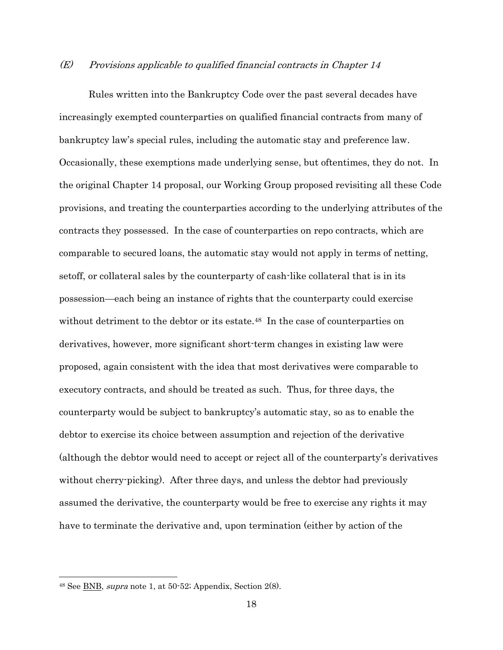#### (E) Provisions applicable to qualified financial contracts in Chapter 14

Rules written into the Bankruptcy Code over the past several decades have increasingly exempted counterparties on qualified financial contracts from many of bankruptcy law's special rules, including the automatic stay and preference law. Occasionally, these exemptions made underlying sense, but oftentimes, they do not. In the original Chapter 14 proposal, our Working Group proposed revisiting all these Code provisions, and treating the counterparties according to the underlying attributes of the contracts they possessed. In the case of counterparties on repo contracts, which are comparable to secured loans, the automatic stay would not apply in terms of netting, setoff, or collateral sales by the counterparty of cash-like collateral that is in its possession—each being an instance of rights that the counterparty could exercise without detriment to the debtor or its estate.<sup>48</sup> In the case of counterparties on derivatives, however, more significant short-term changes in existing law were proposed, again consistent with the idea that most derivatives were comparable to executory contracts, and should be treated as such. Thus, for three days, the counterparty would be subject to bankruptcy's automatic stay, so as to enable the debtor to exercise its choice between assumption and rejection of the derivative (although the debtor would need to accept or reject all of the counterparty's derivatives without cherry-picking). After three days, and unless the debtor had previously assumed the derivative, the counterparty would be free to exercise any rights it may have to terminate the derivative and, upon termination (either by action of the

<sup>48</sup> See BNB, supra note 1, at 50-52; Appendix, Section 2(8).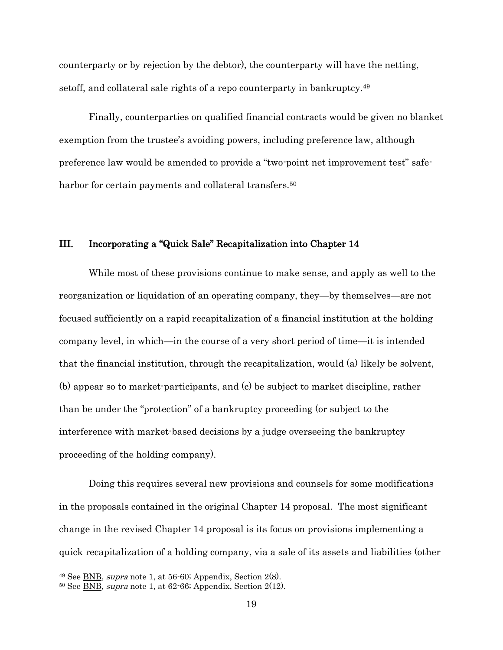counterparty or by rejection by the debtor), the counterparty will have the netting, setoff, and collateral sale rights of a repo counterparty in bankruptcy.<sup>49</sup>

Finally, counterparties on qualified financial contracts would be given no blanket exemption from the trustee's avoiding powers, including preference law, although preference law would be amended to provide a "two-point net improvement test" safeharbor for certain payments and collateral transfers.<sup>50</sup>

## III. Incorporating a "Quick Sale" Recapitalization into Chapter 14

While most of these provisions continue to make sense, and apply as well to the reorganization or liquidation of an operating company, they—by themselves—are not focused sufficiently on a rapid recapitalization of a financial institution at the holding company level, in which—in the course of a very short period of time—it is intended that the financial institution, through the recapitalization, would (a) likely be solvent, (b) appear so to market-participants, and (c) be subject to market discipline, rather than be under the "protection" of a bankruptcy proceeding (or subject to the interference with market-based decisions by a judge overseeing the bankruptcy proceeding of the holding company).

Doing this requires several new provisions and counsels for some modifications in the proposals contained in the original Chapter 14 proposal. The most significant change in the revised Chapter 14 proposal is its focus on provisions implementing a quick recapitalization of a holding company, via a sale of its assets and liabilities (other

 $49$  See BNB, *supra* note 1, at 56-60; Appendix, Section 2(8).

 $50$  See <u>BNB</u>, *supra* note 1, at 62 $-66$ ; Appendix, Section 2(12).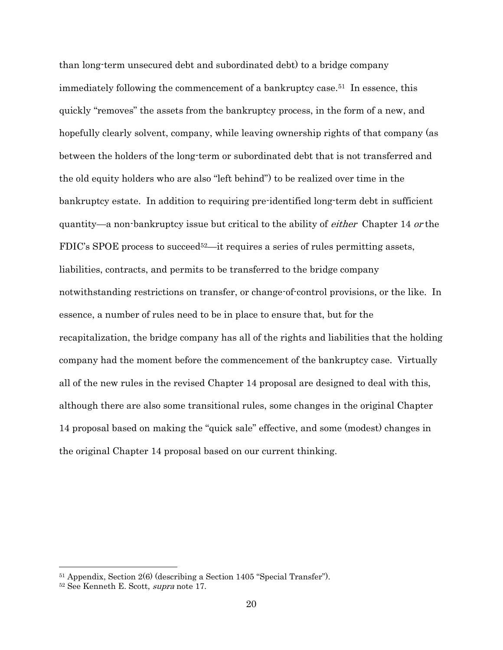than long-term unsecured debt and subordinated debt) to a bridge company immediately following the commencement of a bankruptcy case.51 In essence, this quickly "removes" the assets from the bankruptcy process, in the form of a new, and hopefully clearly solvent, company, while leaving ownership rights of that company (as between the holders of the long-term or subordinated debt that is not transferred and the old equity holders who are also "left behind") to be realized over time in the bankruptcy estate. In addition to requiring pre-identified long-term debt in sufficient quantity—a non-bankruptcy issue but critical to the ability of either Chapter 14 or the FDIC's SPOE process to succeed<sup>52</sup>—it requires a series of rules permitting assets, liabilities, contracts, and permits to be transferred to the bridge company notwithstanding restrictions on transfer, or change-of-control provisions, or the like. In essence, a number of rules need to be in place to ensure that, but for the recapitalization, the bridge company has all of the rights and liabilities that the holding company had the moment before the commencement of the bankruptcy case. Virtually all of the new rules in the revised Chapter 14 proposal are designed to deal with this, although there are also some transitional rules, some changes in the original Chapter 14 proposal based on making the "quick sale" effective, and some (modest) changes in the original Chapter 14 proposal based on our current thinking.

<sup>51</sup> Appendix, Section 2(6) (describing a Section 1405 "Special Transfer").

<sup>52</sup> See Kenneth E. Scott, supra note 17.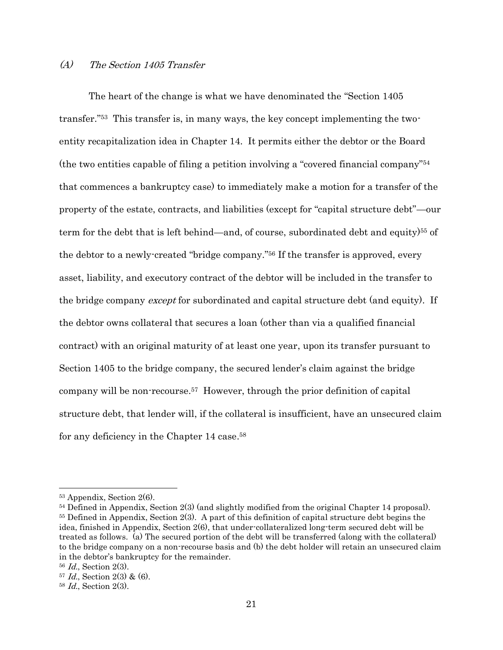## (A) The Section 1405 Transfer

The heart of the change is what we have denominated the "Section 1405 transfer."53 This transfer is, in many ways, the key concept implementing the twoentity recapitalization idea in Chapter 14. It permits either the debtor or the Board (the two entities capable of filing a petition involving a "covered financial company"<sup>54</sup> that commences a bankruptcy case) to immediately make a motion for a transfer of the property of the estate, contracts, and liabilities (except for "capital structure debt"—our term for the debt that is left behind—and, of course, subordinated debt and equity) <sup>55</sup> of the debtor to a newly-created "bridge company."<sup>56</sup> If the transfer is approved, every asset, liability, and executory contract of the debtor will be included in the transfer to the bridge company *except* for subordinated and capital structure debt (and equity). If the debtor owns collateral that secures a loan (other than via a qualified financial contract) with an original maturity of at least one year, upon its transfer pursuant to Section 1405 to the bridge company, the secured lender's claim against the bridge company will be non-recourse.57 However, through the prior definition of capital structure debt, that lender will, if the collateral is insufficient, have an unsecured claim for any deficiency in the Chapter 14 case. 58

<sup>53</sup> Appendix, Section 2(6).

<sup>54</sup> Defined in Appendix, Section 2(3) (and slightly modified from the original Chapter 14 proposal). <sup>55</sup> Defined in Appendix, Section 2(3). A part of this definition of capital structure debt begins the idea, finished in Appendix, Section 2(6), that under-collateralized long-term secured debt will be treated as follows. (a) The secured portion of the debt will be transferred (along with the collateral) to the bridge company on a non-recourse basis and (b) the debt holder will retain an unsecured claim in the debtor's bankruptcy for the remainder.

 $56$  *Id.*, Section 2(3).

 $57$  *Id.*, Section 2(3) & (6).

<sup>58</sup> Id., Section 2(3).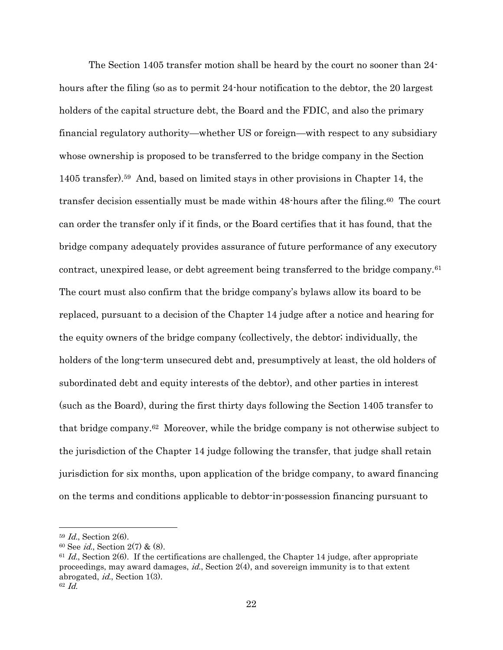The Section 1405 transfer motion shall be heard by the court no sooner than 24 hours after the filing (so as to permit 24-hour notification to the debtor, the 20 largest holders of the capital structure debt, the Board and the FDIC, and also the primary financial regulatory authority—whether US or foreign—with respect to any subsidiary whose ownership is proposed to be transferred to the bridge company in the Section 1405 transfer).59 And, based on limited stays in other provisions in Chapter 14, the transfer decision essentially must be made within 48-hours after the filing.60 The court can order the transfer only if it finds, or the Board certifies that it has found, that the bridge company adequately provides assurance of future performance of any executory contract, unexpired lease, or debt agreement being transferred to the bridge company.<sup>61</sup> The court must also confirm that the bridge company's bylaws allow its board to be replaced, pursuant to a decision of the Chapter 14 judge after a notice and hearing for the equity owners of the bridge company (collectively, the debtor; individually, the holders of the long-term unsecured debt and, presumptively at least, the old holders of subordinated debt and equity interests of the debtor), and other parties in interest (such as the Board), during the first thirty days following the Section 1405 transfer to that bridge company.62 Moreover, while the bridge company is not otherwise subject to the jurisdiction of the Chapter 14 judge following the transfer, that judge shall retain jurisdiction for six months, upon application of the bridge company, to award financing on the terms and conditions applicable to debtor-in-possession financing pursuant to

l

<sup>59</sup> Id., Section 2(6).

<sup>60</sup> See id., Section 2(7) & (8).

 $61$  Id., Section 2(6). If the certifications are challenged, the Chapter 14 judge, after appropriate proceedings, may award damages, id., Section 2(4), and sovereign immunity is to that extent abrogated, id., Section 1(3). 62 Id.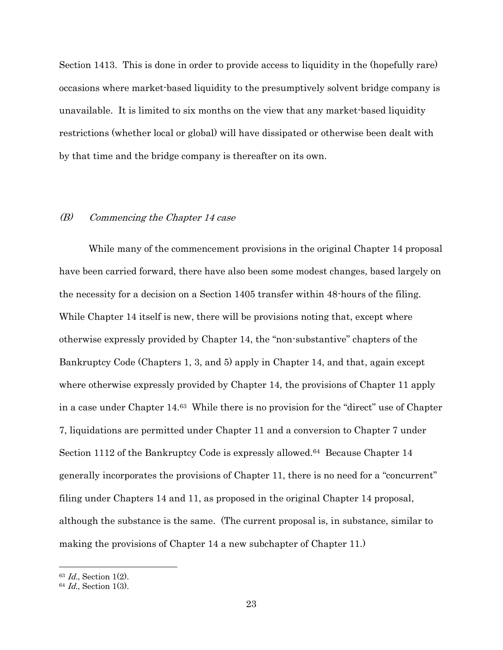Section 1413. This is done in order to provide access to liquidity in the (hopefully rare) occasions where market-based liquidity to the presumptively solvent bridge company is unavailable. It is limited to six months on the view that any market-based liquidity restrictions (whether local or global) will have dissipated or otherwise been dealt with by that time and the bridge company is thereafter on its own.

#### (B) Commencing the Chapter 14 case

While many of the commencement provisions in the original Chapter 14 proposal have been carried forward, there have also been some modest changes, based largely on the necessity for a decision on a Section 1405 transfer within 48-hours of the filing. While Chapter 14 itself is new, there will be provisions noting that, except where otherwise expressly provided by Chapter 14, the "non-substantive" chapters of the Bankruptcy Code (Chapters 1, 3, and 5) apply in Chapter 14, and that, again except where otherwise expressly provided by Chapter 14, the provisions of Chapter 11 apply in a case under Chapter 14.63 While there is no provision for the "direct" use of Chapter 7, liquidations are permitted under Chapter 11 and a conversion to Chapter 7 under Section 1112 of the Bankruptcy Code is expressly allowed.<sup>64</sup> Because Chapter 14 generally incorporates the provisions of Chapter 11, there is no need for a "concurrent" filing under Chapters 14 and 11, as proposed in the original Chapter 14 proposal, although the substance is the same. (The current proposal is, in substance, similar to making the provisions of Chapter 14 a new subchapter of Chapter 11.)

<sup>63</sup> Id., Section 1(2).

 $64$  *Id.*, Section 1(3).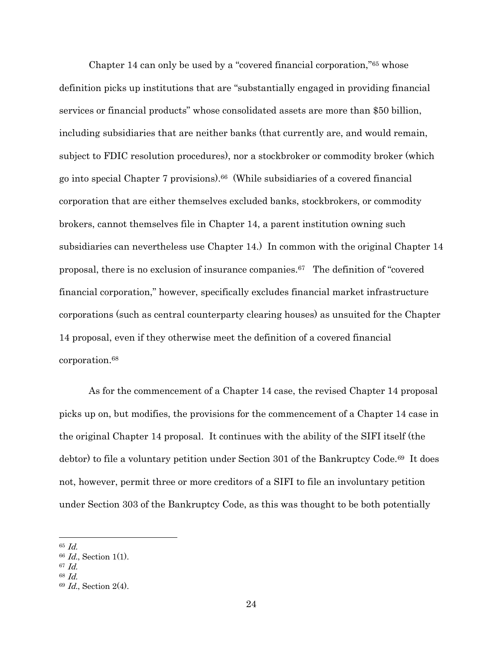Chapter 14 can only be used by a "covered financial corporation,"<sup>65</sup> whose definition picks up institutions that are "substantially engaged in providing financial services or financial products" whose consolidated assets are more than \$50 billion, including subsidiaries that are neither banks (that currently are, and would remain, subject to FDIC resolution procedures), nor a stockbroker or commodity broker (which go into special Chapter 7 provisions).66 (While subsidiaries of a covered financial corporation that are either themselves excluded banks, stockbrokers, or commodity brokers, cannot themselves file in Chapter 14, a parent institution owning such subsidiaries can nevertheless use Chapter 14.) In common with the original Chapter 14 proposal, there is no exclusion of insurance companies.<sup>67</sup> The definition of "covered financial corporation," however, specifically excludes financial market infrastructure corporations (such as central counterparty clearing houses) as unsuited for the Chapter 14 proposal, even if they otherwise meet the definition of a covered financial corporation.<sup>68</sup>

As for the commencement of a Chapter 14 case, the revised Chapter 14 proposal picks up on, but modifies, the provisions for the commencement of a Chapter 14 case in the original Chapter 14 proposal. It continues with the ability of the SIFI itself (the debtor) to file a voluntary petition under Section 301 of the Bankruptcy Code.69 It does not, however, permit three or more creditors of a SIFI to file an involuntary petition under Section 303 of the Bankruptcy Code, as this was thought to be both potentially

l

68 Id.

<sup>65</sup> Id.

<sup>66</sup> Id., Section 1(1).

 $67$  *Id.* 

<sup>69</sup> Id., Section 2(4).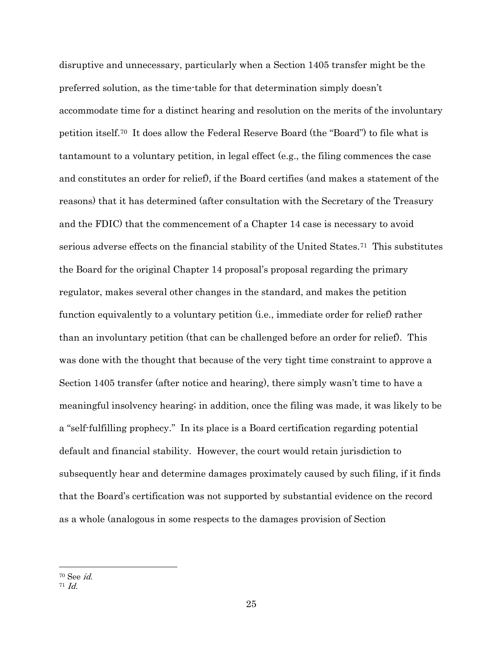disruptive and unnecessary, particularly when a Section 1405 transfer might be the preferred solution, as the time-table for that determination simply doesn't accommodate time for a distinct hearing and resolution on the merits of the involuntary petition itself.<sup>70</sup> It does allow the Federal Reserve Board (the "Board") to file what is tantamount to a voluntary petition, in legal effect (e.g., the filing commences the case and constitutes an order for relief), if the Board certifies (and makes a statement of the reasons) that it has determined (after consultation with the Secretary of the Treasury and the FDIC) that the commencement of a Chapter 14 case is necessary to avoid serious adverse effects on the financial stability of the United States.71 This substitutes the Board for the original Chapter 14 proposal's proposal regarding the primary regulator, makes several other changes in the standard, and makes the petition function equivalently to a voluntary petition (i.e., immediate order for relief) rather than an involuntary petition (that can be challenged before an order for relief). This was done with the thought that because of the very tight time constraint to approve a Section 1405 transfer (after notice and hearing), there simply wasn't time to have a meaningful insolvency hearing; in addition, once the filing was made, it was likely to be a "self-fulfilling prophecy." In its place is a Board certification regarding potential default and financial stability. However, the court would retain jurisdiction to subsequently hear and determine damages proximately caused by such filing, if it finds that the Board's certification was not supported by substantial evidence on the record as a whole (analogous in some respects to the damages provision of Section

<sup>70</sup> See id.

 $71$  *Id.*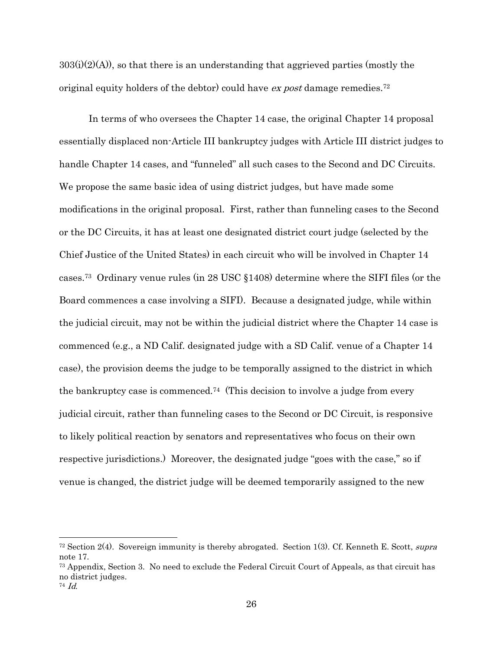$303(i)(2)(A)$ , so that there is an understanding that aggrieved parties (mostly the original equity holders of the debtor) could have  $ex$  post damage remedies.<sup>72</sup>

In terms of who oversees the Chapter 14 case, the original Chapter 14 proposal essentially displaced non-Article III bankruptcy judges with Article III district judges to handle Chapter 14 cases, and "funneled" all such cases to the Second and DC Circuits. We propose the same basic idea of using district judges, but have made some modifications in the original proposal. First, rather than funneling cases to the Second or the DC Circuits, it has at least one designated district court judge (selected by the Chief Justice of the United States) in each circuit who will be involved in Chapter 14 cases.73 Ordinary venue rules (in 28 USC §1408) determine where the SIFI files (or the Board commences a case involving a SIFI). Because a designated judge, while within the judicial circuit, may not be within the judicial district where the Chapter 14 case is commenced (e.g., a ND Calif. designated judge with a SD Calif. venue of a Chapter 14 case), the provision deems the judge to be temporally assigned to the district in which the bankruptcy case is commenced.74 (This decision to involve a judge from every judicial circuit, rather than funneling cases to the Second or DC Circuit, is responsive to likely political reaction by senators and representatives who focus on their own respective jurisdictions.) Moreover, the designated judge "goes with the case," so if venue is changed, the district judge will be deemed temporarily assigned to the new

<sup>72</sup> Section 2(4). Sovereign immunity is thereby abrogated. Section 1(3). Cf. Kenneth E. Scott, supra note 17.

<sup>73</sup> Appendix, Section 3. No need to exclude the Federal Circuit Court of Appeals, as that circuit has no district judges.

<sup>74</sup> Id.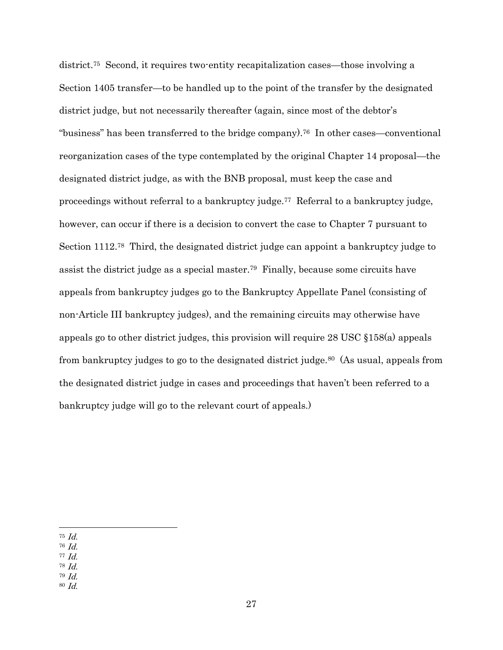district.75 Second, it requires two-entity recapitalization cases—those involving a Section 1405 transfer—to be handled up to the point of the transfer by the designated district judge, but not necessarily thereafter (again, since most of the debtor's "business" has been transferred to the bridge company).76 In other cases—conventional reorganization cases of the type contemplated by the original Chapter 14 proposal—the designated district judge, as with the BNB proposal, must keep the case and proceedings without referral to a bankruptcy judge.77 Referral to a bankruptcy judge, however, can occur if there is a decision to convert the case to Chapter 7 pursuant to Section 1112.<sup>78</sup> Third, the designated district judge can appoint a bankruptcy judge to assist the district judge as a special master.79 Finally, because some circuits have appeals from bankruptcy judges go to the Bankruptcy Appellate Panel (consisting of non-Article III bankruptcy judges), and the remaining circuits may otherwise have appeals go to other district judges, this provision will require 28 USC §158(a) appeals from bankruptcy judges to go to the designated district judge.<sup>80</sup> (As usual, appeals from the designated district judge in cases and proceedings that haven't been referred to a bankruptcy judge will go to the relevant court of appeals.)

- 76 Id.
- $77$  Id.
- 78 Id.
- 79 Id. 80 Id.

<sup>75</sup> Id.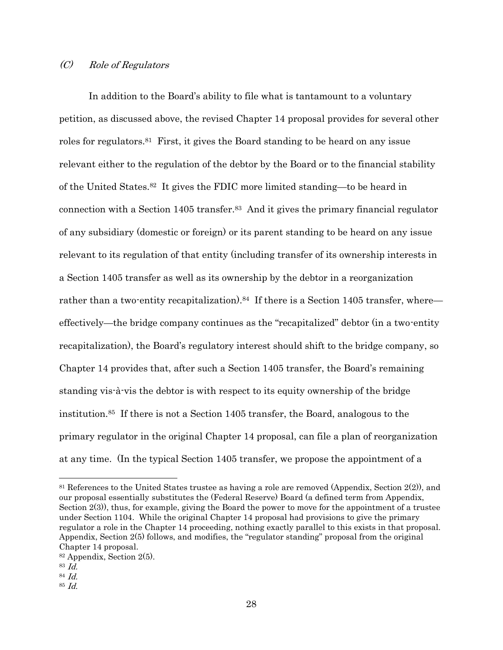## (C) Role of Regulators

In addition to the Board's ability to file what is tantamount to a voluntary petition, as discussed above, the revised Chapter 14 proposal provides for several other roles for regulators.81 First, it gives the Board standing to be heard on any issue relevant either to the regulation of the debtor by the Board or to the financial stability of the United States.82 It gives the FDIC more limited standing—to be heard in connection with a Section 1405 transfer.83 And it gives the primary financial regulator of any subsidiary (domestic or foreign) or its parent standing to be heard on any issue relevant to its regulation of that entity (including transfer of its ownership interests in a Section 1405 transfer as well as its ownership by the debtor in a reorganization rather than a two-entity recapitalization).<sup>84</sup> If there is a Section 1405 transfer, where effectively—the bridge company continues as the "recapitalized" debtor (in a two-entity recapitalization), the Board's regulatory interest should shift to the bridge company, so Chapter 14 provides that, after such a Section 1405 transfer, the Board's remaining standing vis-à-vis the debtor is with respect to its equity ownership of the bridge institution.85 If there is not a Section 1405 transfer, the Board, analogous to the primary regulator in the original Chapter 14 proposal, can file a plan of reorganization at any time. (In the typical Section 1405 transfer, we propose the appointment of a

 $81$  References to the United States trustee as having a role are removed (Appendix, Section  $2(2)$ ), and our proposal essentially substitutes the (Federal Reserve) Board (a defined term from Appendix, Section 2(3)), thus, for example, giving the Board the power to move for the appointment of a trustee under Section 1104. While the original Chapter 14 proposal had provisions to give the primary regulator a role in the Chapter 14 proceeding, nothing exactly parallel to this exists in that proposal. Appendix, Section 2(5) follows, and modifies, the "regulator standing" proposal from the original Chapter 14 proposal.

<sup>82</sup> Appendix, Section 2(5).

<sup>83</sup> Id.

<sup>84</sup> Id.

<sup>85</sup> Id.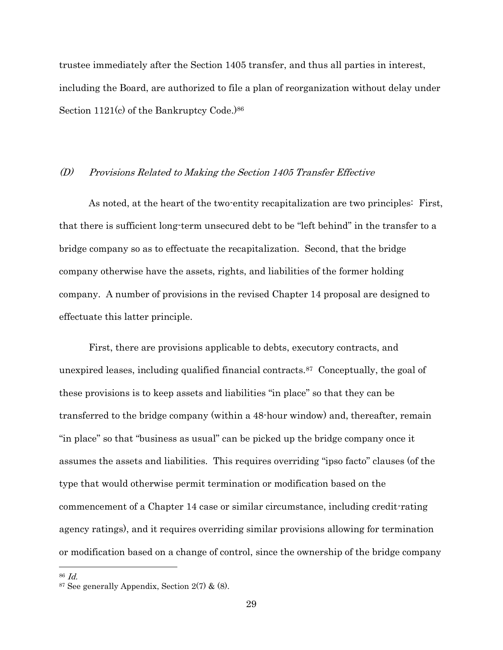trustee immediately after the Section 1405 transfer, and thus all parties in interest, including the Board, are authorized to file a plan of reorganization without delay under Section 1121(c) of the Bankruptcy Code.)<sup>86</sup>

#### (D) Provisions Related to Making the Section 1405 Transfer Effective

As noted, at the heart of the two-entity recapitalization are two principles: First, that there is sufficient long-term unsecured debt to be "left behind" in the transfer to a bridge company so as to effectuate the recapitalization. Second, that the bridge company otherwise have the assets, rights, and liabilities of the former holding company. A number of provisions in the revised Chapter 14 proposal are designed to effectuate this latter principle.

First, there are provisions applicable to debts, executory contracts, and unexpired leases, including qualified financial contracts.87 Conceptually, the goal of these provisions is to keep assets and liabilities "in place" so that they can be transferred to the bridge company (within a 48-hour window) and, thereafter, remain "in place" so that "business as usual" can be picked up the bridge company once it assumes the assets and liabilities. This requires overriding "ipso facto" clauses (of the type that would otherwise permit termination or modification based on the commencement of a Chapter 14 case or similar circumstance, including credit-rating agency ratings), and it requires overriding similar provisions allowing for termination or modification based on a change of control, since the ownership of the bridge company

86 Id.

<sup>87</sup> See generally Appendix, Section 2(7) & (8).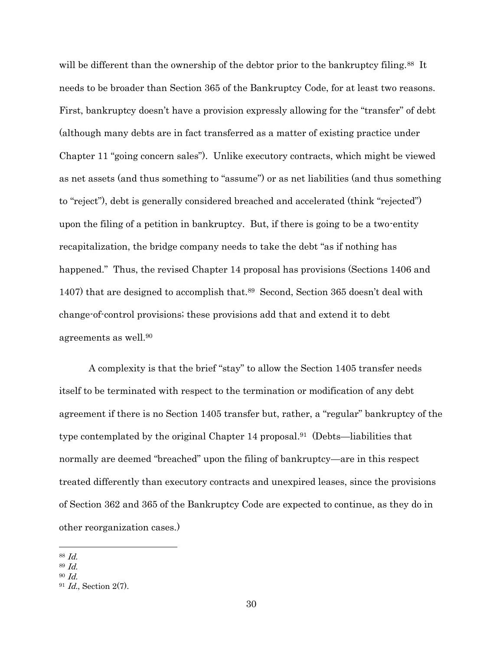will be different than the ownership of the debtor prior to the bankruptcy filing.<sup>88</sup> It needs to be broader than Section 365 of the Bankruptcy Code, for at least two reasons. First, bankruptcy doesn't have a provision expressly allowing for the "transfer" of debt (although many debts are in fact transferred as a matter of existing practice under Chapter 11 "going concern sales"). Unlike executory contracts, which might be viewed as net assets (and thus something to "assume") or as net liabilities (and thus something to "reject"), debt is generally considered breached and accelerated (think "rejected") upon the filing of a petition in bankruptcy. But, if there is going to be a two-entity recapitalization, the bridge company needs to take the debt "as if nothing has happened." Thus, the revised Chapter 14 proposal has provisions (Sections 1406 and 1407) that are designed to accomplish that.<sup>89</sup> Second, Section 365 doesn't deal with change-of-control provisions; these provisions add that and extend it to debt agreements as well.<sup>90</sup>

A complexity is that the brief "stay" to allow the Section 1405 transfer needs itself to be terminated with respect to the termination or modification of any debt agreement if there is no Section 1405 transfer but, rather, a "regular" bankruptcy of the type contemplated by the original Chapter 14 proposal. <sup>91</sup> (Debts—liabilities that normally are deemed "breached" upon the filing of bankruptcy—are in this respect treated differently than executory contracts and unexpired leases, since the provisions of Section 362 and 365 of the Bankruptcy Code are expected to continue, as they do in other reorganization cases.)

<sup>88</sup> Id.

<sup>89</sup> Id.

<sup>90</sup> Id.

<sup>&</sup>lt;sup>91</sup> *Id.*, Section 2(7).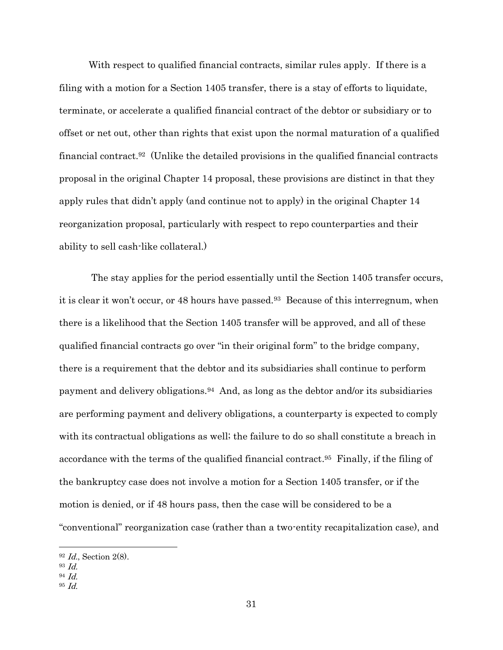With respect to qualified financial contracts, similar rules apply. If there is a filing with a motion for a Section 1405 transfer, there is a stay of efforts to liquidate, terminate, or accelerate a qualified financial contract of the debtor or subsidiary or to offset or net out, other than rights that exist upon the normal maturation of a qualified financial contract. <sup>92</sup> (Unlike the detailed provisions in the qualified financial contracts proposal in the original Chapter 14 proposal, these provisions are distinct in that they apply rules that didn't apply (and continue not to apply) in the original Chapter 14 reorganization proposal, particularly with respect to repo counterparties and their ability to sell cash-like collateral.)

The stay applies for the period essentially until the Section 1405 transfer occurs, it is clear it won't occur, or 48 hours have passed.93 Because of this interregnum, when there is a likelihood that the Section 1405 transfer will be approved, and all of these qualified financial contracts go over "in their original form" to the bridge company, there is a requirement that the debtor and its subsidiaries shall continue to perform payment and delivery obligations.94 And, as long as the debtor and/or its subsidiaries are performing payment and delivery obligations, a counterparty is expected to comply with its contractual obligations as well; the failure to do so shall constitute a breach in accordance with the terms of the qualified financial contract. <sup>95</sup> Finally, if the filing of the bankruptcy case does not involve a motion for a Section 1405 transfer, or if the motion is denied, or if 48 hours pass, then the case will be considered to be a "conventional" reorganization case (rather than a two-entity recapitalization case), and

<sup>92</sup> Id., Section 2(8).

<sup>93</sup> Id.

<sup>94</sup> Id.

<sup>95</sup> Id.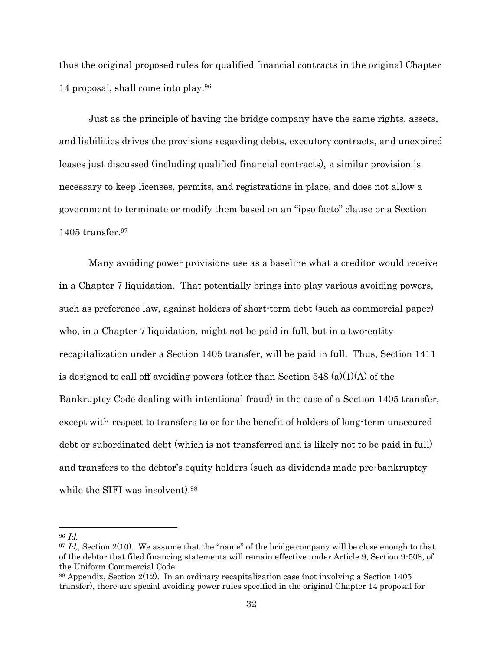thus the original proposed rules for qualified financial contracts in the original Chapter 14 proposal, shall come into play.<sup>96</sup>

Just as the principle of having the bridge company have the same rights, assets, and liabilities drives the provisions regarding debts, executory contracts, and unexpired leases just discussed (including qualified financial contracts), a similar provision is necessary to keep licenses, permits, and registrations in place, and does not allow a government to terminate or modify them based on an "ipso facto" clause or a Section 1405 transfer.<sup>97</sup>

Many avoiding power provisions use as a baseline what a creditor would receive in a Chapter 7 liquidation. That potentially brings into play various avoiding powers, such as preference law, against holders of short-term debt (such as commercial paper) who, in a Chapter 7 liquidation, might not be paid in full, but in a two-entity recapitalization under a Section 1405 transfer, will be paid in full. Thus, Section 1411 is designed to call off avoiding powers (other than Section  $548 \text{ (a)}(1)(\text{A})$  of the Bankruptcy Code dealing with intentional fraud) in the case of a Section 1405 transfer, except with respect to transfers to or for the benefit of holders of long-term unsecured debt or subordinated debt (which is not transferred and is likely not to be paid in full) and transfers to the debtor's equity holders (such as dividends made pre-bankruptcy while the SIFI was insolvent).<sup>98</sup>

96 Id.

 $97$  Id., Section 2(10). We assume that the "name" of the bridge company will be close enough to that of the debtor that filed financing statements will remain effective under Article 9, Section 9-508, of the Uniform Commercial Code.

<sup>98</sup> Appendix, Section 2(12). In an ordinary recapitalization case (not involving a Section 1405 transfer), there are special avoiding power rules specified in the original Chapter 14 proposal for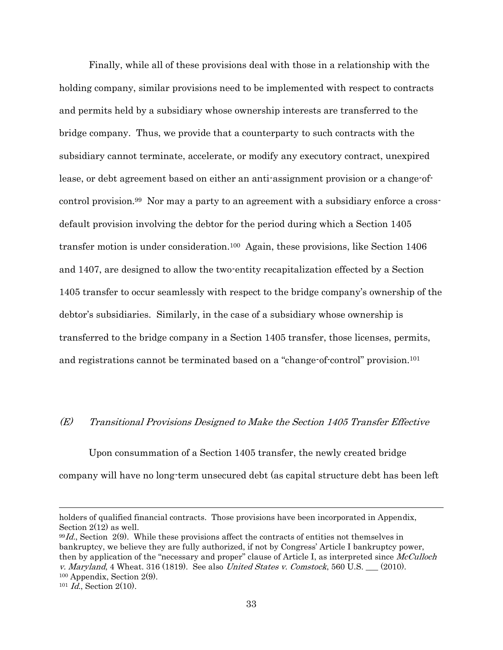Finally, while all of these provisions deal with those in a relationship with the holding company, similar provisions need to be implemented with respect to contracts and permits held by a subsidiary whose ownership interests are transferred to the bridge company. Thus, we provide that a counterparty to such contracts with the subsidiary cannot terminate, accelerate, or modify any executory contract, unexpired lease, or debt agreement based on either an anti-assignment provision or a change-ofcontrol provision.99 Nor may a party to an agreement with a subsidiary enforce a crossdefault provision involving the debtor for the period during which a Section 1405 transfer motion is under consideration.100 Again, these provisions, like Section 1406 and 1407, are designed to allow the two-entity recapitalization effected by a Section 1405 transfer to occur seamlessly with respect to the bridge company's ownership of the debtor's subsidiaries. Similarly, in the case of a subsidiary whose ownership is transferred to the bridge company in a Section 1405 transfer, those licenses, permits, and registrations cannot be terminated based on a "change-of-control" provision.<sup>101</sup>

#### (E) Transitional Provisions Designed to Make the Section 1405 Transfer Effective

Upon consummation of a Section 1405 transfer, the newly created bridge company will have no long-term unsecured debt (as capital structure debt has been left

holders of qualified financial contracts. Those provisions have been incorporated in Appendix, Section 2(12) as well.

 $^{99}Id$ , Section 2(9). While these provisions affect the contracts of entities not themselves in bankruptcy, we believe they are fully authorized, if not by Congress' Article I bankruptcy power, then by application of the "necessary and proper" clause of Article I, as interpreted since McCulloch v. Maryland, 4 Wheat. 316 (1819). See also United States v. Comstock, 560 U.S.  $\qquad (2010)$ . <sup>100</sup> Appendix, Section 2(9).

 $101$  *Id.*, Section 2(10).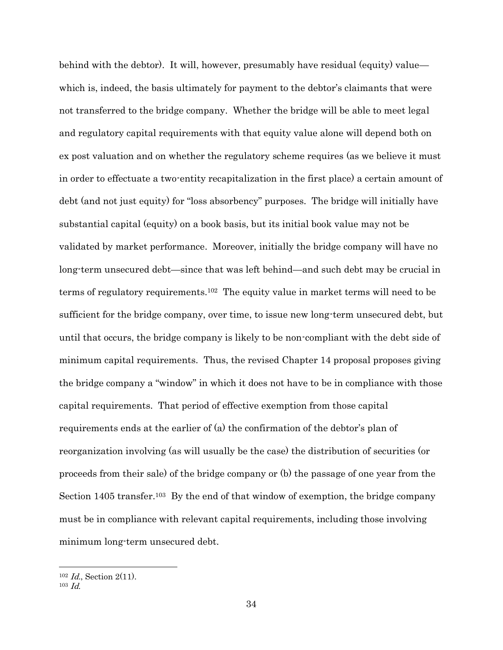behind with the debtor). It will, however, presumably have residual (equity) value which is, indeed, the basis ultimately for payment to the debtor's claimants that were not transferred to the bridge company. Whether the bridge will be able to meet legal and regulatory capital requirements with that equity value alone will depend both on ex post valuation and on whether the regulatory scheme requires (as we believe it must in order to effectuate a two-entity recapitalization in the first place) a certain amount of debt (and not just equity) for "loss absorbency" purposes. The bridge will initially have substantial capital (equity) on a book basis, but its initial book value may not be validated by market performance. Moreover, initially the bridge company will have no long-term unsecured debt—since that was left behind—and such debt may be crucial in terms of regulatory requirements.102 The equity value in market terms will need to be sufficient for the bridge company, over time, to issue new long-term unsecured debt, but until that occurs, the bridge company is likely to be non-compliant with the debt side of minimum capital requirements. Thus, the revised Chapter 14 proposal proposes giving the bridge company a "window" in which it does not have to be in compliance with those capital requirements. That period of effective exemption from those capital requirements ends at the earlier of (a) the confirmation of the debtor's plan of reorganization involving (as will usually be the case) the distribution of securities (or proceeds from their sale) of the bridge company or (b) the passage of one year from the Section 1405 transfer.<sup>103</sup> By the end of that window of exemption, the bridge company must be in compliance with relevant capital requirements, including those involving minimum long-term unsecured debt.

 $102$  *Id.*, Section 2(11).

<sup>103</sup> Id.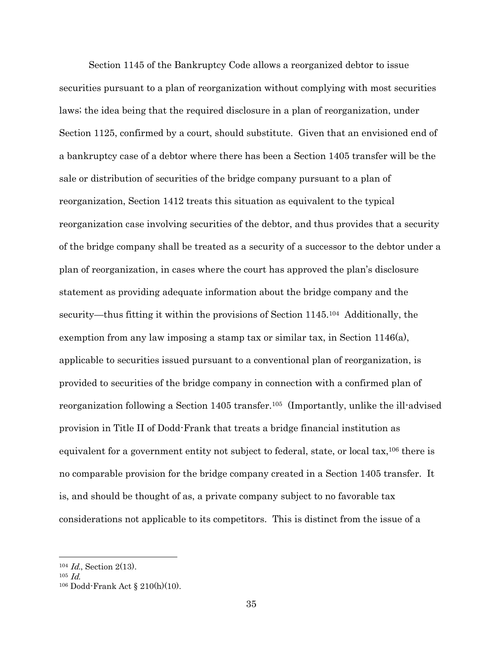Section 1145 of the Bankruptcy Code allows a reorganized debtor to issue securities pursuant to a plan of reorganization without complying with most securities laws; the idea being that the required disclosure in a plan of reorganization, under Section 1125, confirmed by a court, should substitute. Given that an envisioned end of a bankruptcy case of a debtor where there has been a Section 1405 transfer will be the sale or distribution of securities of the bridge company pursuant to a plan of reorganization, Section 1412 treats this situation as equivalent to the typical reorganization case involving securities of the debtor, and thus provides that a security of the bridge company shall be treated as a security of a successor to the debtor under a plan of reorganization, in cases where the court has approved the plan's disclosure statement as providing adequate information about the bridge company and the security—thus fitting it within the provisions of Section 1145.104 Additionally, the exemption from any law imposing a stamp tax or similar tax, in Section 1146(a), applicable to securities issued pursuant to a conventional plan of reorganization, is provided to securities of the bridge company in connection with a confirmed plan of reorganization following a Section 1405 transfer.105 (Importantly, unlike the ill-advised provision in Title II of Dodd-Frank that treats a bridge financial institution as equivalent for a government entity not subject to federal, state, or local tax,<sup>106</sup> there is no comparable provision for the bridge company created in a Section 1405 transfer. It is, and should be thought of as, a private company subject to no favorable tax considerations not applicable to its competitors. This is distinct from the issue of a

 $104$  *Id.*, Section 2(13).

 $105$  *Id.* 

<sup>106</sup> Dodd-Frank Act § 210(h)(10).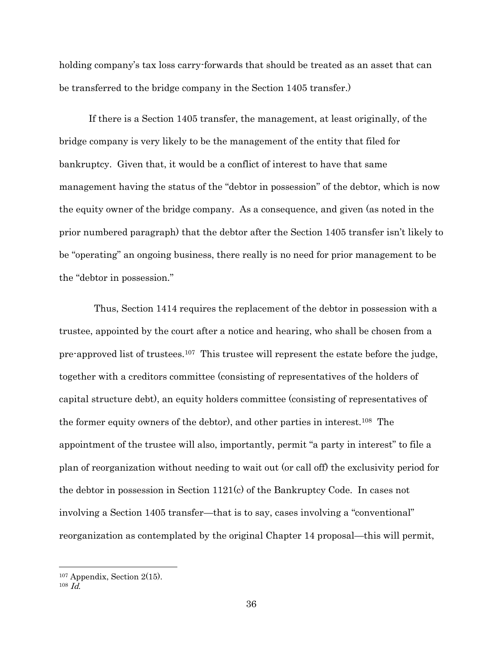holding company's tax loss carry-forwards that should be treated as an asset that can be transferred to the bridge company in the Section 1405 transfer.)

If there is a Section 1405 transfer, the management, at least originally, of the bridge company is very likely to be the management of the entity that filed for bankruptcy. Given that, it would be a conflict of interest to have that same management having the status of the "debtor in possession" of the debtor, which is now the equity owner of the bridge company. As a consequence, and given (as noted in the prior numbered paragraph) that the debtor after the Section 1405 transfer isn't likely to be "operating" an ongoing business, there really is no need for prior management to be the "debtor in possession."

 Thus, Section 1414 requires the replacement of the debtor in possession with a trustee, appointed by the court after a notice and hearing, who shall be chosen from a pre-approved list of trustees.107 This trustee will represent the estate before the judge, together with a creditors committee (consisting of representatives of the holders of capital structure debt), an equity holders committee (consisting of representatives of the former equity owners of the debtor), and other parties in interest.108 The appointment of the trustee will also, importantly, permit "a party in interest" to file a plan of reorganization without needing to wait out (or call off) the exclusivity period for the debtor in possession in Section 1121(c) of the Bankruptcy Code. In cases not involving a Section 1405 transfer—that is to say, cases involving a "conventional" reorganization as contemplated by the original Chapter 14 proposal—this will permit,

 $107$  Appendix, Section 2(15).

 $108$  *Id.*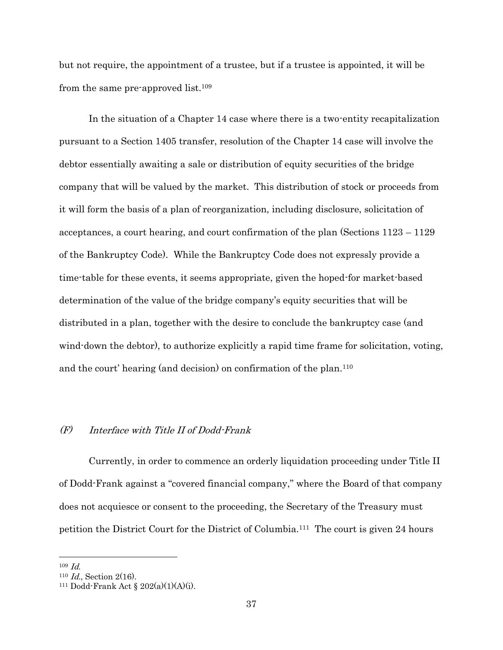but not require, the appointment of a trustee, but if a trustee is appointed, it will be from the same pre-approved list.<sup>109</sup>

In the situation of a Chapter 14 case where there is a two-entity recapitalization pursuant to a Section 1405 transfer, resolution of the Chapter 14 case will involve the debtor essentially awaiting a sale or distribution of equity securities of the bridge company that will be valued by the market. This distribution of stock or proceeds from it will form the basis of a plan of reorganization, including disclosure, solicitation of acceptances, a court hearing, and court confirmation of the plan (Sections 1123 – 1129 of the Bankruptcy Code). While the Bankruptcy Code does not expressly provide a time-table for these events, it seems appropriate, given the hoped-for market-based determination of the value of the bridge company's equity securities that will be distributed in a plan, together with the desire to conclude the bankruptcy case (and wind-down the debtor), to authorize explicitly a rapid time frame for solicitation, voting, and the court' hearing (and decision) on confirmation of the plan.<sup>110</sup>

### (F) Interface with Title II of Dodd-Frank

Currently, in order to commence an orderly liquidation proceeding under Title II of Dodd-Frank against a "covered financial company," where the Board of that company does not acquiesce or consent to the proceeding, the Secretary of the Treasury must petition the District Court for the District of Columbia.<sup>111</sup> The court is given 24 hours

 $109$  *Id.* 

 $110$  *Id.*, Section 2(16).

<sup>111</sup> Dodd-Frank Act § 202(a)(1)(A)(i).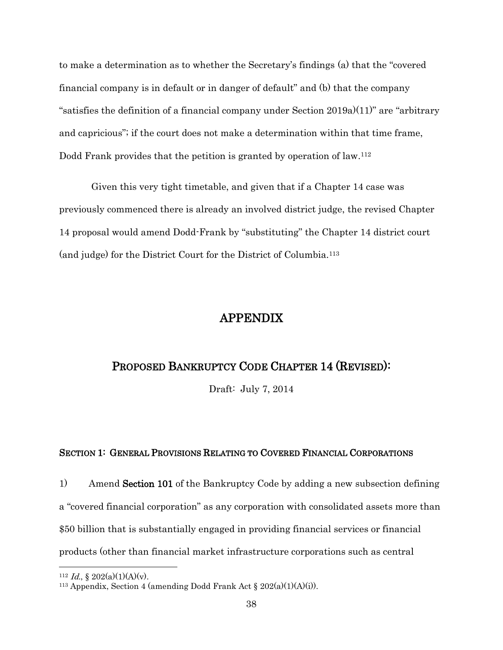to make a determination as to whether the Secretary's findings (a) that the "covered financial company is in default or in danger of default" and (b) that the company "satisfies the definition of a financial company under Section 2019a)(11)" are "arbitrary and capricious"; if the court does not make a determination within that time frame, Dodd Frank provides that the petition is granted by operation of law.<sup>112</sup>

Given this very tight timetable, and given that if a Chapter 14 case was previously commenced there is already an involved district judge, the revised Chapter 14 proposal would amend Dodd-Frank by "substituting" the Chapter 14 district court (and judge) for the District Court for the District of Columbia.<sup>113</sup>

## APPENDIX

## PROPOSED BANKRUPTCY CODE CHAPTER 14 (REVISED):

Draft: July 7, 2014

### SECTION 1: GENERAL PROVISIONS RELATING TO COVERED FINANCIAL CORPORATIONS

1) Amend Section 101 of the Bankruptcy Code by adding a new subsection defining a "covered financial corporation" as any corporation with consolidated assets more than \$50 billion that is substantially engaged in providing financial services or financial products (other than financial market infrastructure corporations such as central

<sup>112</sup>  $Id$ , § 202(a)(1)(A)(v).

<sup>&</sup>lt;sup>113</sup> Appendix, Section 4 (amending Dodd Frank Act  $\S 202(a)(1)(A)(i)$ ).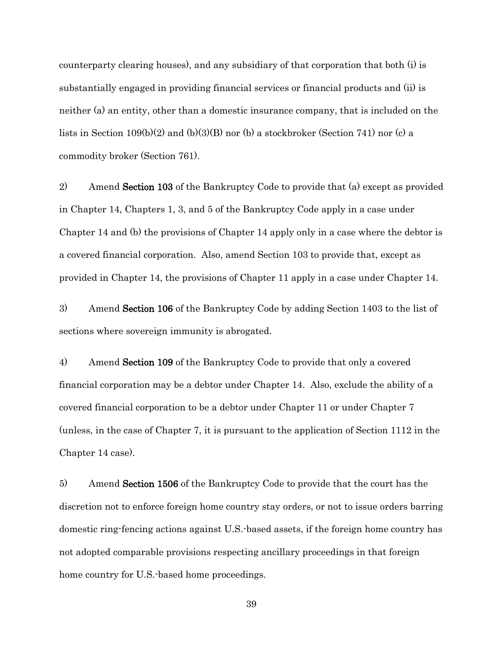counterparty clearing houses), and any subsidiary of that corporation that both (i) is substantially engaged in providing financial services or financial products and (ii) is neither (a) an entity, other than a domestic insurance company, that is included on the lists in Section 109(b)(2) and (b)(3)(B) nor (b) a stockbroker (Section 741) nor (c) a commodity broker (Section 761).

2) Amend Section 103 of the Bankruptcy Code to provide that (a) except as provided in Chapter 14, Chapters 1, 3, and 5 of the Bankruptcy Code apply in a case under Chapter 14 and (b) the provisions of Chapter 14 apply only in a case where the debtor is a covered financial corporation. Also, amend Section 103 to provide that, except as provided in Chapter 14, the provisions of Chapter 11 apply in a case under Chapter 14.

3) Amend Section 106 of the Bankruptcy Code by adding Section 1403 to the list of sections where sovereign immunity is abrogated.

4) Amend Section 109 of the Bankruptcy Code to provide that only a covered financial corporation may be a debtor under Chapter 14. Also, exclude the ability of a covered financial corporation to be a debtor under Chapter 11 or under Chapter 7 (unless, in the case of Chapter 7, it is pursuant to the application of Section 1112 in the Chapter 14 case).

5) Amend Section 1506 of the Bankruptcy Code to provide that the court has the discretion not to enforce foreign home country stay orders, or not to issue orders barring domestic ring-fencing actions against U.S.-based assets, if the foreign home country has not adopted comparable provisions respecting ancillary proceedings in that foreign home country for U.S.-based home proceedings.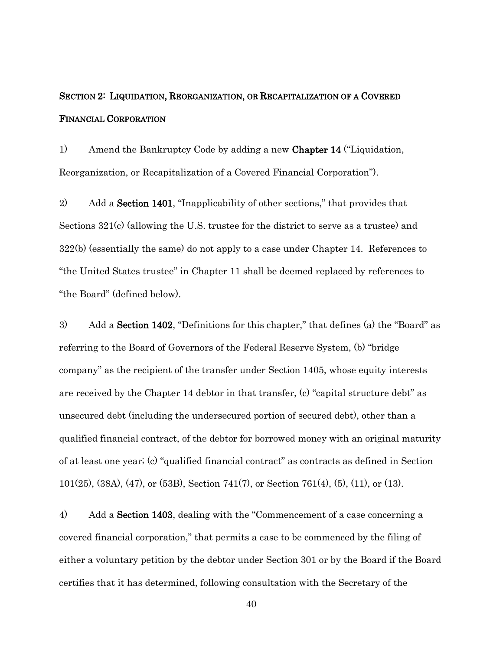# SECTION 2: LIQUIDATION, REORGANIZATION, OR RECAPITALIZATION OF A COVERED FINANCIAL CORPORATION

1) Amend the Bankruptcy Code by adding a new Chapter 14 ("Liquidation, Reorganization, or Recapitalization of a Covered Financial Corporation").

2) Add a Section 1401, "Inapplicability of other sections," that provides that Sections 321(c) (allowing the U.S. trustee for the district to serve as a trustee) and 322(b) (essentially the same) do not apply to a case under Chapter 14. References to "the United States trustee" in Chapter 11 shall be deemed replaced by references to "the Board" (defined below).

3) Add a Section 1402, "Definitions for this chapter," that defines (a) the "Board" as referring to the Board of Governors of the Federal Reserve System, (b) "bridge company" as the recipient of the transfer under Section 1405, whose equity interests are received by the Chapter 14 debtor in that transfer, (c) "capital structure debt" as unsecured debt (including the undersecured portion of secured debt), other than a qualified financial contract, of the debtor for borrowed money with an original maturity of at least one year; (c) "qualified financial contract" as contracts as defined in Section 101(25), (38A), (47), or (53B), Section 741(7), or Section 761(4), (5), (11), or (13).

4) Add a Section 1403, dealing with the "Commencement of a case concerning a covered financial corporation," that permits a case to be commenced by the filing of either a voluntary petition by the debtor under Section 301 or by the Board if the Board certifies that it has determined, following consultation with the Secretary of the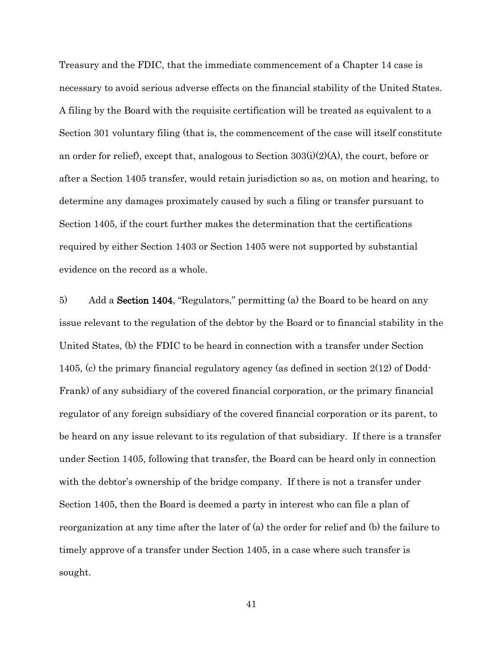Treasury and the FDIC, that the immediate commencement of a Chapter 14 case is necessary to avoid serious adverse effects on the financial stability of the United States. A filing by the Board with the requisite certification will be treated as equivalent to a Section 301 voluntary filing (that is, the commencement of the case will itself constitute an order for relief), except that, analogous to Section 303(i)(2)(A), the court, before or after a Section 1405 transfer, would retain jurisdiction so as, on motion and hearing, to determine any damages proximately caused by such a filing or transfer pursuant to Section 1405, if the court further makes the determination that the certifications required by either Section 1403 or Section 1405 were not supported by substantial evidence on the record as a whole.

5) Add a Section 1404, "Regulators," permitting (a) the Board to be heard on any issue relevant to the regulation of the debtor by the Board or to financial stability in the United States, (b) the FDIC to be heard in connection with a transfer under Section 1405, (c) the primary financial regulatory agency (as defined in section 2(12) of Dodd-Frank) of any subsidiary of the covered financial corporation, or the primary financial regulator of any foreign subsidiary of the covered financial corporation or its parent, to be heard on any issue relevant to its regulation of that subsidiary. If there is a transfer under Section 1405, following that transfer, the Board can be heard only in connection with the debtor's ownership of the bridge company. If there is not a transfer under Section 1405, then the Board is deemed a party in interest who can file a plan of reorganization at any time after the later of (a) the order for relief and (b) the failure to timely approve of a transfer under Section 1405, in a case where such transfer is sought.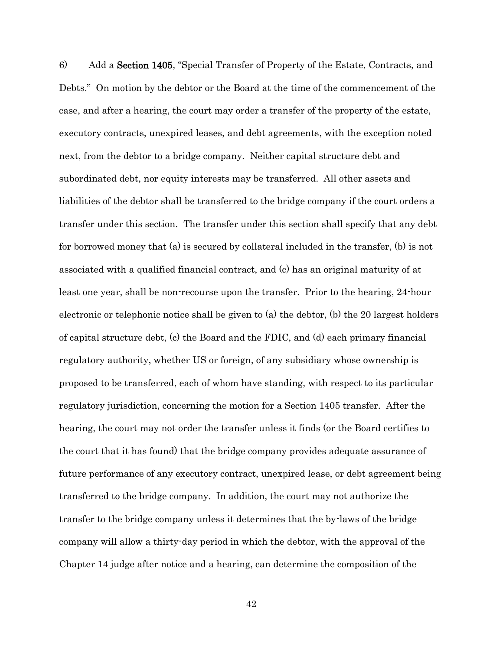6) Add a Section 1405, "Special Transfer of Property of the Estate, Contracts, and Debts." On motion by the debtor or the Board at the time of the commencement of the case, and after a hearing, the court may order a transfer of the property of the estate, executory contracts, unexpired leases, and debt agreements, with the exception noted next, from the debtor to a bridge company. Neither capital structure debt and subordinated debt, nor equity interests may be transferred. All other assets and liabilities of the debtor shall be transferred to the bridge company if the court orders a transfer under this section. The transfer under this section shall specify that any debt for borrowed money that (a) is secured by collateral included in the transfer, (b) is not associated with a qualified financial contract, and (c) has an original maturity of at least one year, shall be non-recourse upon the transfer. Prior to the hearing, 24-hour electronic or telephonic notice shall be given to (a) the debtor, (b) the 20 largest holders of capital structure debt, (c) the Board and the FDIC, and (d) each primary financial regulatory authority, whether US or foreign, of any subsidiary whose ownership is proposed to be transferred, each of whom have standing, with respect to its particular regulatory jurisdiction, concerning the motion for a Section 1405 transfer. After the hearing, the court may not order the transfer unless it finds (or the Board certifies to the court that it has found) that the bridge company provides adequate assurance of future performance of any executory contract, unexpired lease, or debt agreement being transferred to the bridge company. In addition, the court may not authorize the transfer to the bridge company unless it determines that the by-laws of the bridge company will allow a thirty-day period in which the debtor, with the approval of the Chapter 14 judge after notice and a hearing, can determine the composition of the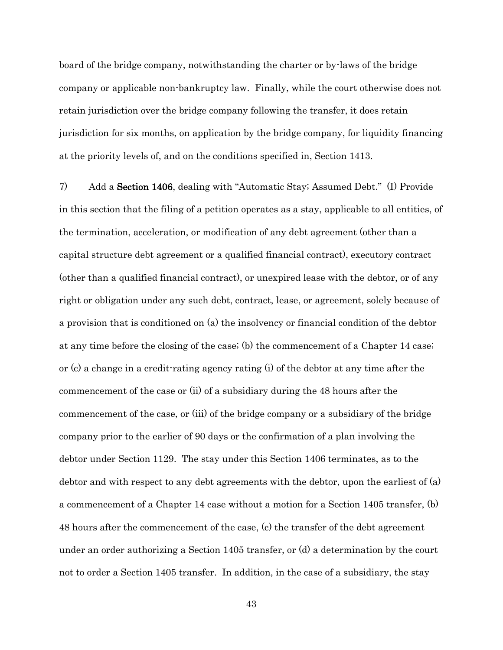board of the bridge company, notwithstanding the charter or by-laws of the bridge company or applicable non-bankruptcy law. Finally, while the court otherwise does not retain jurisdiction over the bridge company following the transfer, it does retain jurisdiction for six months, on application by the bridge company, for liquidity financing at the priority levels of, and on the conditions specified in, Section 1413.

7) Add a Section 1406, dealing with "Automatic Stay; Assumed Debt." (I) Provide in this section that the filing of a petition operates as a stay, applicable to all entities, of the termination, acceleration, or modification of any debt agreement (other than a capital structure debt agreement or a qualified financial contract), executory contract (other than a qualified financial contract), or unexpired lease with the debtor, or of any right or obligation under any such debt, contract, lease, or agreement, solely because of a provision that is conditioned on (a) the insolvency or financial condition of the debtor at any time before the closing of the case; (b) the commencement of a Chapter 14 case; or (c) a change in a credit-rating agency rating (i) of the debtor at any time after the commencement of the case or (ii) of a subsidiary during the 48 hours after the commencement of the case, or (iii) of the bridge company or a subsidiary of the bridge company prior to the earlier of 90 days or the confirmation of a plan involving the debtor under Section 1129. The stay under this Section 1406 terminates, as to the debtor and with respect to any debt agreements with the debtor, upon the earliest of (a) a commencement of a Chapter 14 case without a motion for a Section 1405 transfer, (b) 48 hours after the commencement of the case, (c) the transfer of the debt agreement under an order authorizing a Section 1405 transfer, or (d) a determination by the court not to order a Section 1405 transfer. In addition, in the case of a subsidiary, the stay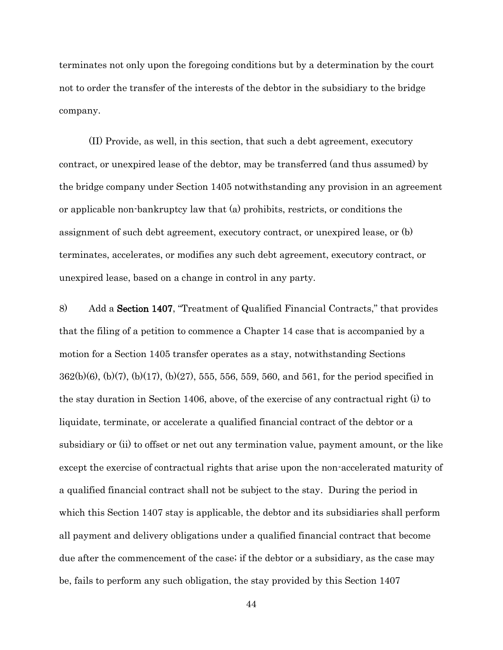terminates not only upon the foregoing conditions but by a determination by the court not to order the transfer of the interests of the debtor in the subsidiary to the bridge company.

(II) Provide, as well, in this section, that such a debt agreement, executory contract, or unexpired lease of the debtor, may be transferred (and thus assumed) by the bridge company under Section 1405 notwithstanding any provision in an agreement or applicable non-bankruptcy law that (a) prohibits, restricts, or conditions the assignment of such debt agreement, executory contract, or unexpired lease, or (b) terminates, accelerates, or modifies any such debt agreement, executory contract, or unexpired lease, based on a change in control in any party.

8) Add a Section 1407, "Treatment of Qualified Financial Contracts," that provides that the filing of a petition to commence a Chapter 14 case that is accompanied by a motion for a Section 1405 transfer operates as a stay, notwithstanding Sections 362(b)(6), (b)(7), (b)(17), (b)(27), 555, 556, 559, 560, and 561, for the period specified in the stay duration in Section 1406, above, of the exercise of any contractual right (i) to liquidate, terminate, or accelerate a qualified financial contract of the debtor or a subsidiary or (ii) to offset or net out any termination value, payment amount, or the like except the exercise of contractual rights that arise upon the non-accelerated maturity of a qualified financial contract shall not be subject to the stay. During the period in which this Section 1407 stay is applicable, the debtor and its subsidiaries shall perform all payment and delivery obligations under a qualified financial contract that become due after the commencement of the case; if the debtor or a subsidiary, as the case may be, fails to perform any such obligation, the stay provided by this Section 1407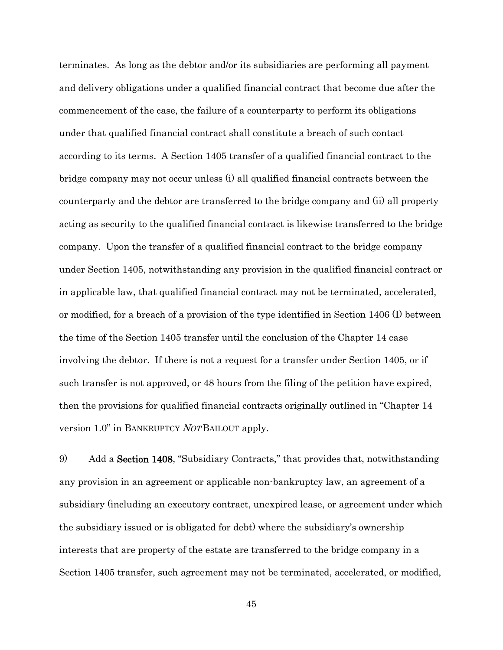terminates. As long as the debtor and/or its subsidiaries are performing all payment and delivery obligations under a qualified financial contract that become due after the commencement of the case, the failure of a counterparty to perform its obligations under that qualified financial contract shall constitute a breach of such contact according to its terms. A Section 1405 transfer of a qualified financial contract to the bridge company may not occur unless (i) all qualified financial contracts between the counterparty and the debtor are transferred to the bridge company and (ii) all property acting as security to the qualified financial contract is likewise transferred to the bridge company. Upon the transfer of a qualified financial contract to the bridge company under Section 1405, notwithstanding any provision in the qualified financial contract or in applicable law, that qualified financial contract may not be terminated, accelerated, or modified, for a breach of a provision of the type identified in Section 1406 (I) between the time of the Section 1405 transfer until the conclusion of the Chapter 14 case involving the debtor. If there is not a request for a transfer under Section 1405, or if such transfer is not approved, or 48 hours from the filing of the petition have expired, then the provisions for qualified financial contracts originally outlined in "Chapter 14 version 1.0" in BANKRUPTCY NOT BAILOUT apply.

9) Add a Section 1408, "Subsidiary Contracts," that provides that, notwithstanding any provision in an agreement or applicable non-bankruptcy law, an agreement of a subsidiary (including an executory contract, unexpired lease, or agreement under which the subsidiary issued or is obligated for debt) where the subsidiary's ownership interests that are property of the estate are transferred to the bridge company in a Section 1405 transfer, such agreement may not be terminated, accelerated, or modified,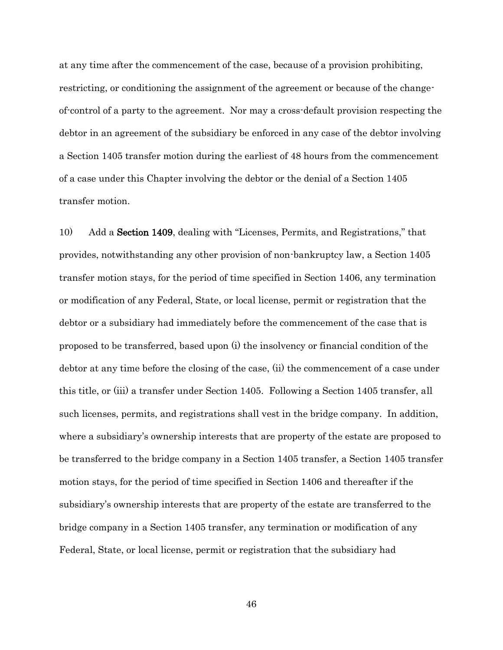at any time after the commencement of the case, because of a provision prohibiting, restricting, or conditioning the assignment of the agreement or because of the changeof-control of a party to the agreement. Nor may a cross-default provision respecting the debtor in an agreement of the subsidiary be enforced in any case of the debtor involving a Section 1405 transfer motion during the earliest of 48 hours from the commencement of a case under this Chapter involving the debtor or the denial of a Section 1405 transfer motion.

10) Add a Section 1409, dealing with "Licenses, Permits, and Registrations," that provides, notwithstanding any other provision of non-bankruptcy law, a Section 1405 transfer motion stays, for the period of time specified in Section 1406, any termination or modification of any Federal, State, or local license, permit or registration that the debtor or a subsidiary had immediately before the commencement of the case that is proposed to be transferred, based upon (i) the insolvency or financial condition of the debtor at any time before the closing of the case, (ii) the commencement of a case under this title, or (iii) a transfer under Section 1405. Following a Section 1405 transfer, all such licenses, permits, and registrations shall vest in the bridge company. In addition, where a subsidiary's ownership interests that are property of the estate are proposed to be transferred to the bridge company in a Section 1405 transfer, a Section 1405 transfer motion stays, for the period of time specified in Section 1406 and thereafter if the subsidiary's ownership interests that are property of the estate are transferred to the bridge company in a Section 1405 transfer, any termination or modification of any Federal, State, or local license, permit or registration that the subsidiary had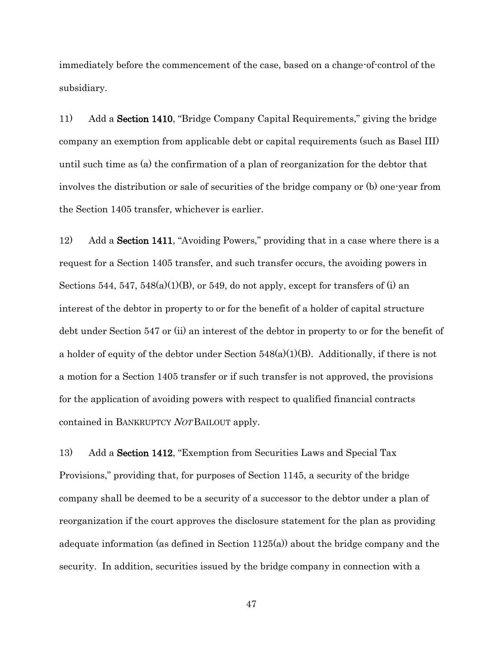immediately before the commencement of the case, based on a change-of-control of the subsidiary.

11) Add a Section 1410, "Bridge Company Capital Requirements," giving the bridge company an exemption from applicable debt or capital requirements (such as Basel III) until such time as (a) the confirmation of a plan of reorganization for the debtor that involves the distribution or sale of securities of the bridge company or (b) one-year from the Section 1405 transfer, whichever is earlier.

12) Add a Section 1411, "Avoiding Powers," providing that in a case where there is a request for a Section 1405 transfer, and such transfer occurs, the avoiding powers in Sections 544, 547, 548(a)(1)(B), or 549, do not apply, except for transfers of (i) an interest of the debtor in property to or for the benefit of a holder of capital structure debt under Section 547 or (ii) an interest of the debtor in property to or for the benefit of a holder of equity of the debtor under Section  $548(a)(1)(B)$ . Additionally, if there is not a motion for a Section 1405 transfer or if such transfer is not approved, the provisions for the application of avoiding powers with respect to qualified financial contracts contained in BANKRUPTCY NOT BAILOUT apply.

13) Add a Section 1412, "Exemption from Securities Laws and Special Tax Provisions," providing that, for purposes of Section 1145, a security of the bridge company shall be deemed to be a security of a successor to the debtor under a plan of reorganization if the court approves the disclosure statement for the plan as providing adequate information (as defined in Section 1125(a)) about the bridge company and the security. In addition, securities issued by the bridge company in connection with a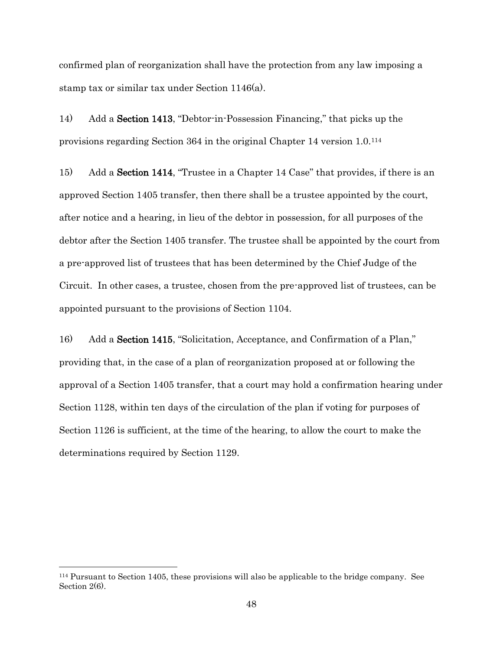confirmed plan of reorganization shall have the protection from any law imposing a stamp tax or similar tax under Section 1146(a).

14) Add a Section 1413, "Debtor-in-Possession Financing," that picks up the provisions regarding Section 364 in the original Chapter 14 version 1.0.<sup>114</sup>

15) Add a Section 1414, "Trustee in a Chapter 14 Case" that provides, if there is an approved Section 1405 transfer, then there shall be a trustee appointed by the court, after notice and a hearing, in lieu of the debtor in possession, for all purposes of the debtor after the Section 1405 transfer. The trustee shall be appointed by the court from a pre-approved list of trustees that has been determined by the Chief Judge of the Circuit. In other cases, a trustee, chosen from the pre-approved list of trustees, can be appointed pursuant to the provisions of Section 1104.

16) Add a Section 1415, "Solicitation, Acceptance, and Confirmation of a Plan," providing that, in the case of a plan of reorganization proposed at or following the approval of a Section 1405 transfer, that a court may hold a confirmation hearing under Section 1128, within ten days of the circulation of the plan if voting for purposes of Section 1126 is sufficient, at the time of the hearing, to allow the court to make the determinations required by Section 1129.

<sup>114</sup> Pursuant to Section 1405, these provisions will also be applicable to the bridge company. See Section 2(6).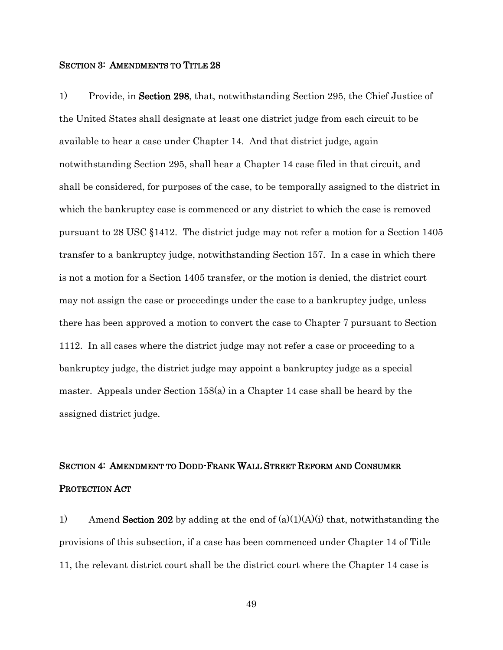#### SECTION 3: AMENDMENTS TO TITLE 28

1) Provide, in Section 298, that, notwithstanding Section 295, the Chief Justice of the United States shall designate at least one district judge from each circuit to be available to hear a case under Chapter 14. And that district judge, again notwithstanding Section 295, shall hear a Chapter 14 case filed in that circuit, and shall be considered, for purposes of the case, to be temporally assigned to the district in which the bankruptcy case is commenced or any district to which the case is removed pursuant to 28 USC §1412. The district judge may not refer a motion for a Section 1405 transfer to a bankruptcy judge, notwithstanding Section 157. In a case in which there is not a motion for a Section 1405 transfer, or the motion is denied, the district court may not assign the case or proceedings under the case to a bankruptcy judge, unless there has been approved a motion to convert the case to Chapter 7 pursuant to Section 1112. In all cases where the district judge may not refer a case or proceeding to a bankruptcy judge, the district judge may appoint a bankruptcy judge as a special master. Appeals under Section 158(a) in a Chapter 14 case shall be heard by the assigned district judge.

# SECTION 4: AMENDMENT TO DODD-FRANK WALL STREET REFORM AND CONSUMER PROTECTION ACT

1) Amend Section 202 by adding at the end of  $(a)(1)(A)(i)$  that, notwithstanding the provisions of this subsection, if a case has been commenced under Chapter 14 of Title 11, the relevant district court shall be the district court where the Chapter 14 case is